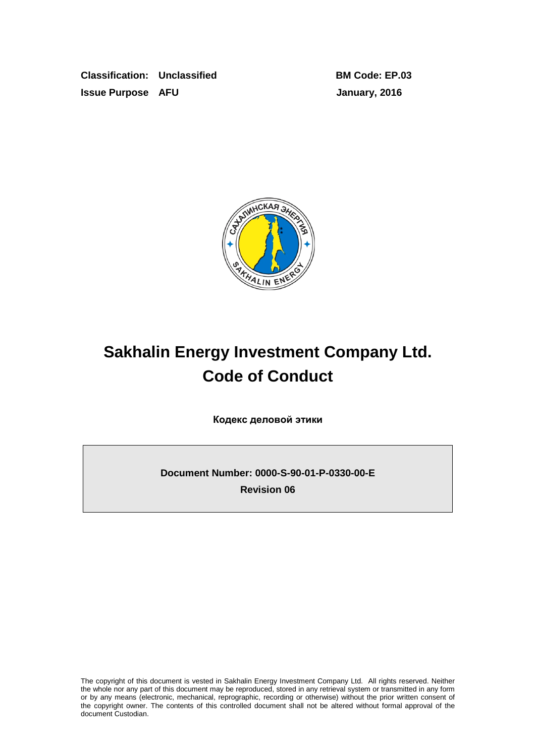**Classification: Unclassified BM Code: EP.03 Issue Purpose AFU January, 2016**



# **Sakhalin Energy Investment Company Ltd. Code of Conduct**

**Кодекс деловой этики**

**Document Number: 0000-S-90-01-P-0330-00-E Revision 06**

The copyright of this document is vested in Sakhalin Energy Investment Company Ltd. All rights reserved. Neither the whole nor any part of this document may be reproduced, stored in any retrieval system or transmitted in any form or by any means (electronic, mechanical, reprographic, recording or otherwise) without the prior written consent of the copyright owner. The contents of this controlled document shall not be altered without formal approval of the document Custodian.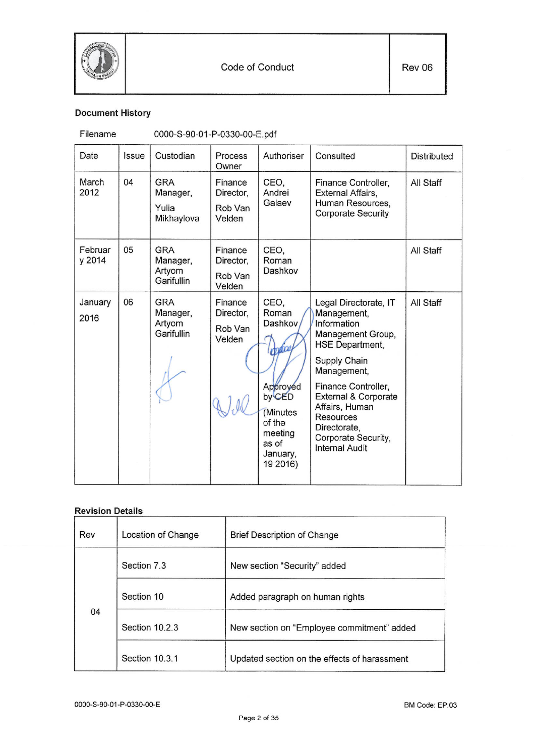

# **Document History**

| Filename |
|----------|
|          |

0000-S-90-01-P-0330-00-E.pdf

| Date              | Issue | Custodian                                      | Process<br>Owner                          | Authoriser                                                                                                               | Consulted                                                                                                                                                                                                                                                                                         | <b>Distributed</b> |
|-------------------|-------|------------------------------------------------|-------------------------------------------|--------------------------------------------------------------------------------------------------------------------------|---------------------------------------------------------------------------------------------------------------------------------------------------------------------------------------------------------------------------------------------------------------------------------------------------|--------------------|
| March<br>2012     | 04    | <b>GRA</b><br>Manager,<br>Yulia<br>Mikhaylova  | Finance<br>Director,<br>Rob Van<br>Velden | CEO.<br>Andrei<br>Galaev                                                                                                 | Finance Controller,<br>External Affairs,<br>Human Resources,<br><b>Corporate Security</b>                                                                                                                                                                                                         | All Staff          |
| Februar<br>y 2014 | 05    | <b>GRA</b><br>Manager,<br>Artyom<br>Garifullin | Finance<br>Director,<br>Rob Van<br>Velden | CEO,<br>Roman<br>Dashkov                                                                                                 |                                                                                                                                                                                                                                                                                                   | All Staff          |
| January<br>2016   | 06    | GRA<br>Manager,<br>Artyom<br>Garifullin        | Finance<br>Director,<br>Rob Van<br>Velden | CEO.<br>Roman<br>Dashkov<br>poto<br>Approved<br>by CED<br>(Minutes<br>of the<br>meeting<br>as of<br>January,<br>19 2016) | Legal Directorate, IT<br>Management,<br>Information<br>Management Group,<br><b>HSE Department,</b><br>Supply Chain<br>Management,<br>Finance Controller,<br><b>External &amp; Corporate</b><br>Affairs, Human<br><b>Resources</b><br>Directorate,<br>Corporate Security,<br><b>Internal Audit</b> | All Staff          |

# **Revision Details**

| Rev | Location of Change | <b>Brief Description of Change</b>           |  |
|-----|--------------------|----------------------------------------------|--|
|     | Section 7.3        | New section "Security" added                 |  |
|     | Section 10         | Added paragraph on human rights              |  |
| 04  | Section 10.2.3     | New section on "Employee commitment" added   |  |
|     | Section 10.3.1     | Updated section on the effects of harassment |  |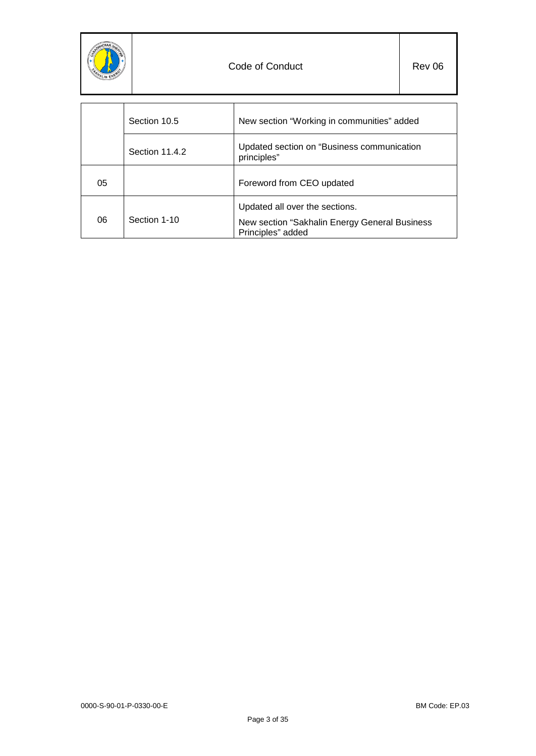

|    | Section 10.5   | New section "Working in communities" added                                                           |
|----|----------------|------------------------------------------------------------------------------------------------------|
|    | Section 11.4.2 | Updated section on "Business communication<br>principles"                                            |
| 05 |                | Foreword from CEO updated                                                                            |
| 06 | Section 1-10   | Updated all over the sections.<br>New section "Sakhalin Energy General Business<br>Principles" added |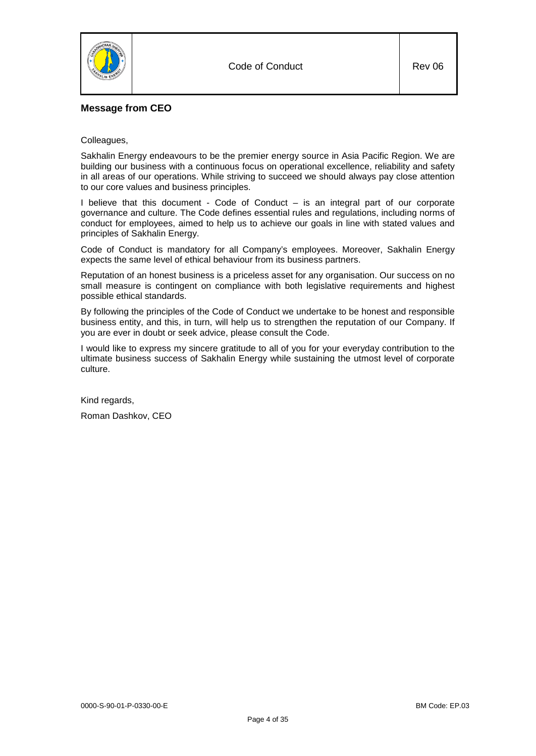

# **Message from CEO**

## Colleagues,

Sakhalin Energy endeavours to be the premier energy source in Asia Pacific Region. We are building our business with a continuous focus on operational excellence, reliability and safety in all areas of our operations. While striving to succeed we should always pay close attention to our core values and business principles.

I believe that this document - Code of Conduct – is an integral part of our corporate governance and culture. The Code defines essential rules and regulations, including norms of conduct for employees, aimed to help us to achieve our goals in line with stated values and principles of Sakhalin Energy.

Code of Conduct is mandatory for all Company's employees. Moreover, Sakhalin Energy expects the same level of ethical behaviour from its business partners.

Reputation of an honest business is a priceless asset for any organisation. Our success on no small measure is contingent on compliance with both legislative requirements and highest possible ethical standards.

By following the principles of the Code of Conduct we undertake to be honest and responsible business entity, and this, in turn, will help us to strengthen the reputation of our Company. If you are ever in doubt or seek advice, please consult the Code.

I would like to express my sincere gratitude to all of you for your everyday contribution to the ultimate business success of Sakhalin Energy while sustaining the utmost level of corporate culture.

Kind regards,

Roman Dashkov, CEO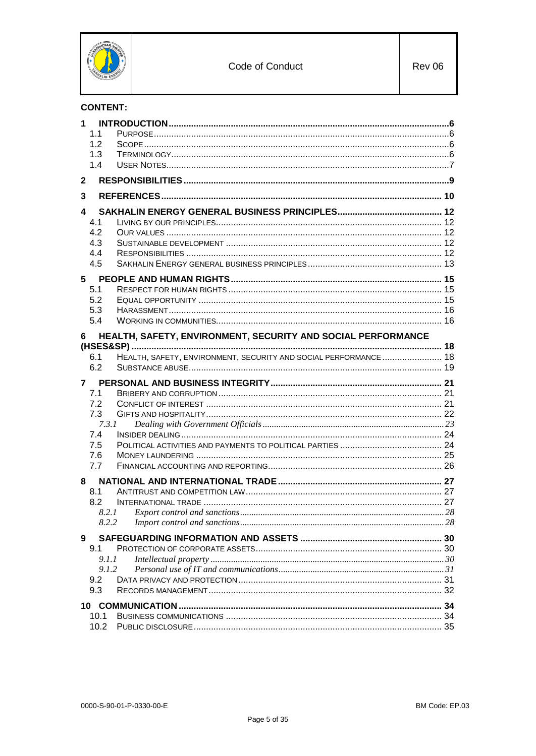

# **CONTENT:**

| 1.1   |                                                                  |  |
|-------|------------------------------------------------------------------|--|
| 1.2   |                                                                  |  |
| 1.3   |                                                                  |  |
| 1.4   |                                                                  |  |
| 2     |                                                                  |  |
| 3     |                                                                  |  |
| 4     |                                                                  |  |
| 4.1   |                                                                  |  |
| 4.2   |                                                                  |  |
| 4.3   |                                                                  |  |
| 4.4   |                                                                  |  |
| 4.5   |                                                                  |  |
| 5     |                                                                  |  |
| 5.1   |                                                                  |  |
| 5.2   |                                                                  |  |
| 5.3   |                                                                  |  |
| 5.4   |                                                                  |  |
| 6     | HEALTH, SAFETY, ENVIRONMENT, SECURITY AND SOCIAL PERFORMANCE     |  |
|       |                                                                  |  |
| 6.1   | HEALTH, SAFETY, ENVIRONMENT, SECURITY AND SOCIAL PERFORMANCE  18 |  |
| 6.2   |                                                                  |  |
| 7     |                                                                  |  |
| 7.1   |                                                                  |  |
| 7.2   |                                                                  |  |
| 7.3   |                                                                  |  |
|       |                                                                  |  |
| 7.3.1 |                                                                  |  |
| 7.4   |                                                                  |  |
| 7.5   |                                                                  |  |
| 7.6   |                                                                  |  |
| 7.7   |                                                                  |  |
| 8     |                                                                  |  |
| 8.1   |                                                                  |  |
| 8.2   |                                                                  |  |
|       | 8.2.1                                                            |  |
| 8.2.2 |                                                                  |  |
| 9     |                                                                  |  |
| 9.1   |                                                                  |  |
| 9.1.1 |                                                                  |  |
| 9.1.2 |                                                                  |  |
| 9.2   |                                                                  |  |
| 9.3   |                                                                  |  |
|       |                                                                  |  |
| 10.1  |                                                                  |  |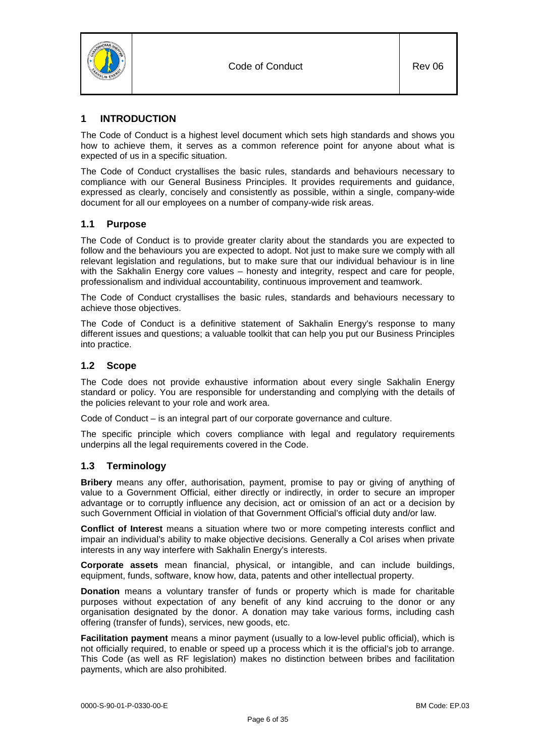

# <span id="page-5-0"></span>**1 INTRODUCTION**

The Code of Conduct is a highest level document which sets high standards and shows you how to achieve them, it serves as a common reference point for anyone about what is expected of us in a specific situation.

The Code of Conduct crystallises the basic rules, standards and behaviours necessary to compliance with our General Business Principles. It provides requirements and guidance, expressed as clearly, concisely and consistently as possible, within a single, company-wide document for all our employees on a number of company-wide risk areas.

# <span id="page-5-1"></span>**1.1 Purpose**

The Code of Conduct is to provide greater clarity about the standards you are expected to follow and the behaviours you are expected to adopt. Not just to make sure we comply with all relevant legislation and regulations, but to make sure that our individual behaviour is in line with the Sakhalin Energy core values – honesty and integrity, respect and care for people, professionalism and individual accountability, continuous improvement and teamwork.

The Code of Conduct crystallises the basic rules, standards and behaviours necessary to achieve those objectives.

The Code of Conduct is a definitive statement of Sakhalin Energy's response to many different issues and questions; a valuable toolkit that can help you put our Business Principles into practice.

# <span id="page-5-2"></span>**1.2 Scope**

The Code does not provide exhaustive information about every single Sakhalin Energy standard or policy. You are responsible for understanding and complying with the details of the policies relevant to your role and work area.

Code of Conduct – is an integral part of our corporate governance and culture.

The specific principle which covers compliance with legal and regulatory requirements underpins all the legal requirements covered in the Code.

# <span id="page-5-3"></span>**1.3 Terminology**

**Bribery** means any offer, authorisation, payment, promise to pay or giving of anything of value to a Government Official, either directly or indirectly, in order to secure an improper advantage or to corruptly influence any decision, act or omission of an act or a decision by such Government Official in violation of that Government Official's official duty and/or law.

**Conflict of Interest** means a situation where two or more competing interests conflict and impair an individual's ability to make objective decisions. Generally a CoI arises when private interests in any way interfere with Sakhalin Energy's interests.

**Corporate assets** mean financial, physical, or intangible, and can include buildings, equipment, funds, software, know how, data, patents and other intellectual property.

**Donation** means a voluntary transfer of funds or property which is made for charitable purposes without expectation of any benefit of any kind accruing to the donor or any organisation designated by the donor. A donation may take various forms, including cash offering (transfer of funds), services, new goods, etc.

**Facilitation payment** means a minor payment (usually to a low-level public official), which is not officially required, to enable or speed up a process which it is the official's job to arrange. This Code (as well as RF legislation) makes no distinction between bribes and facilitation payments, which are also prohibited.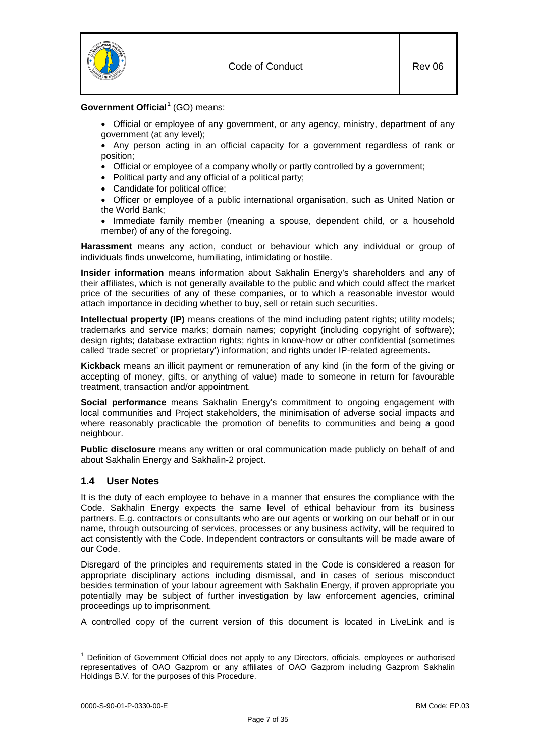

# **Government Official[1](#page-6-1)** (GO) means:

- Official or employee of any government, or any agency, ministry, department of any government (at any level);
- Any person acting in an official capacity for a government regardless of rank or position;
- Official or employee of a company wholly or partly controlled by a government;
- Political party and any official of a political party;
- Candidate for political office;
- Officer or employee of a public international organisation, such as United Nation or the World Bank;
- Immediate family member (meaning a spouse, dependent child, or a household member) of any of the foregoing.

**Harassment** means any action, conduct or behaviour which any individual or group of individuals finds unwelcome, humiliating, intimidating or hostile.

**Insider information** means information about Sakhalin Energy's shareholders and any of their affiliates, which is not generally available to the public and which could affect the market price of the securities of any of these companies, or to which a reasonable investor would attach importance in deciding whether to buy, sell or retain such securities.

**Intellectual property (IP)** means creations of the mind including patent rights; utility models; trademarks and service marks; domain names; copyright (including copyright of software); design rights; database extraction rights; rights in know-how or other confidential (sometimes called 'trade secret' or proprietary') information; and rights under IP-related agreements.

**Kickback** means an illicit payment or remuneration of any kind (in the form of the giving or accepting of money, gifts, or anything of value) made to someone in return for favourable treatment, transaction and/or appointment.

**Social performance** means Sakhalin Energy's commitment to ongoing engagement with local communities and Project stakeholders, the minimisation of adverse social impacts and where reasonably practicable the promotion of benefits to communities and being a good neighbour.

**Public disclosure** means any written or oral communication made publicly on behalf of and about Sakhalin Energy and Sakhalin-2 project.

# <span id="page-6-0"></span>**1.4 User Notes**

It is the duty of each employee to behave in a manner that ensures the compliance with the Code. Sakhalin Energy expects the same level of ethical behaviour from its business partners. E.g. contractors or consultants who are our agents or working on our behalf or in our name, through outsourcing of services, processes or any business activity, will be required to act consistently with the Code. Independent contractors or consultants will be made aware of our Code.

Disregard of the principles and requirements stated in the Code is considered a reason for appropriate disciplinary actions including dismissal, and in cases of serious misconduct besides termination of your labour agreement with Sakhalin Energy, if proven appropriate you potentially may be subject of further investigation by law enforcement agencies, criminal proceedings up to imprisonment.

A controlled copy of the current version of this document is located in LiveLink and is

-

<span id="page-6-1"></span><sup>&</sup>lt;sup>1</sup> Definition of Government Official does not apply to any Directors, officials, employees or authorised representatives of OAO Gazprom or any affiliates of OAO Gazprom including Gazprom Sakhalin Holdings B.V. for the purposes of this Procedure.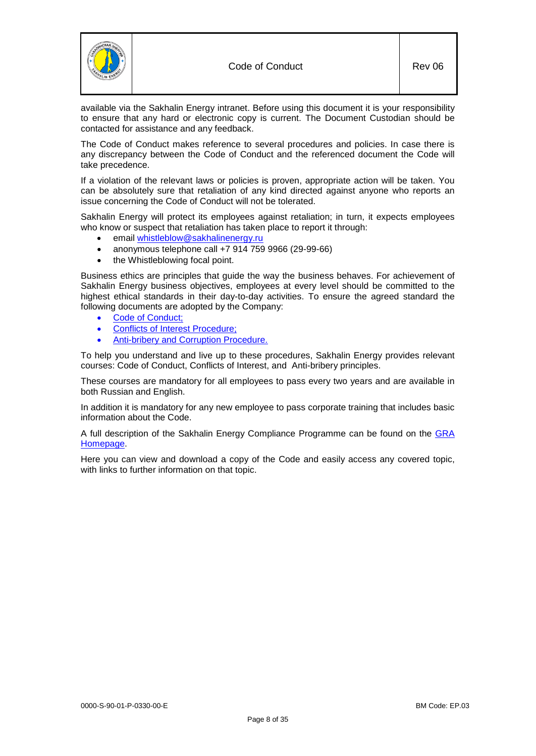



The Code of Conduct makes reference to several procedures and policies. In case there is any discrepancy between the Code of Conduct and the referenced document the Code will take precedence.

If a violation of the relevant laws or policies is proven, appropriate action will be taken. You can be absolutely sure that retaliation of any kind directed against anyone who reports an issue concerning the Code of Conduct will not be tolerated.

Sakhalin Energy will protect its employees against retaliation; in turn, it expects employees who know or suspect that retaliation has taken place to report it through:

- email [whistleblow@sakhalinenergy.ru](mailto:whistleblow@sakhalinenergy.ru)
- anonymous telephone call +7 914 759 9966 (29-99-66)
- the Whistleblowing focal point.

Business ethics are principles that guide the way the business behaves. For achievement of Sakhalin Energy business objectives, employees at every level should be committed to the highest ethical standards in their day-to-day activities. To ensure the agreed standard the following documents are adopted by the Company:

- [Code of Conduct;](https://sww-llsak.sakhalinenergy.ru/glasseic/livelink.exe?func=ll&objId=15363531&objAction=browse&sort=name)
- [Conflicts of Interest Procedure;](https://sww-llsak.sakhalinenergy.ru/glasseic/livelink.exe?func=ll&objId=907332&objAction=browse&sort=name)
- [Anti-bribery and Corruption Procedure.](https://sww-llsak.sakhalinenergy.ru/glasseic/livelink.exe?func=ll&objId=33964835&objAction=browse&sort=name)

To help you understand and live up to these procedures, Sakhalin Energy provides relevant courses: Code of Conduct, Conflicts of Interest, and Anti-bribery principles.

These courses are mandatory for all employees to pass every two years and are available in both Russian and English.

In addition it is mandatory for any new employee to pass corporate training that includes basic information about the Code.

A full description of the Sakhalin Energy Compliance Programme can be found on the [GRA](http://sww.sakhalinenergy.ru/seic/fd/ac/GRA_Index.html)  [Homepage.](http://sww.sakhalinenergy.ru/seic/fd/ac/GRA_Index.html)

Here you can view and download a copy of the Code and easily access any covered topic, with links to further information on that topic.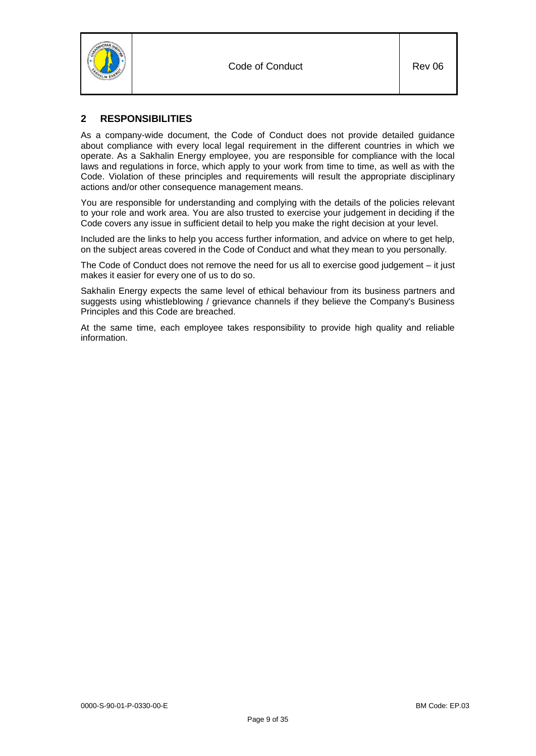



# <span id="page-8-0"></span>**2 RESPONSIBILITIES**

As a company-wide document, the Code of Conduct does not provide detailed guidance about compliance with every local legal requirement in the different countries in which we operate. As a Sakhalin Energy employee, you are responsible for compliance with the local laws and regulations in force, which apply to your work from time to time, as well as with the Code. Violation of these principles and requirements will result the appropriate disciplinary actions and/or other consequence management means.

You are responsible for understanding and complying with the details of the policies relevant to your role and work area. You are also trusted to exercise your judgement in deciding if the Code covers any issue in sufficient detail to help you make the right decision at your level.

Included are the links to help you access further information, and advice on where to get help, on the subject areas covered in the Code of Conduct and what they mean to you personally.

The Code of Conduct does not remove the need for us all to exercise good judgement – it just makes it easier for every one of us to do so.

Sakhalin Energy expects the same level of ethical behaviour from its business partners and suggests using whistleblowing / grievance channels if they believe the Company's Business Principles and this Code are breached.

At the same time, each employee takes responsibility to provide high quality and reliable information.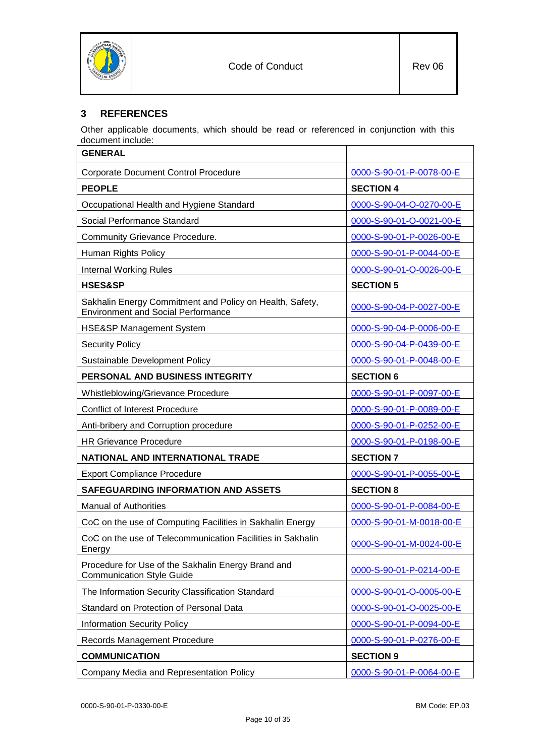

# <span id="page-9-0"></span>**3 REFERENCES**

Other applicable documents, which should be read or referenced in conjunction with this document include:

| <b>GENERAL</b>                                                                                        |                          |
|-------------------------------------------------------------------------------------------------------|--------------------------|
| <b>Corporate Document Control Procedure</b>                                                           | 0000-S-90-01-P-0078-00-E |
| <b>PEOPLE</b>                                                                                         | <b>SECTION 4</b>         |
| Occupational Health and Hygiene Standard                                                              | 0000-S-90-04-O-0270-00-E |
| Social Performance Standard                                                                           | 0000-S-90-01-O-0021-00-E |
| Community Grievance Procedure.                                                                        | 0000-S-90-01-P-0026-00-E |
| Human Rights Policy                                                                                   | 0000-S-90-01-P-0044-00-E |
| <b>Internal Working Rules</b>                                                                         | 0000-S-90-01-O-0026-00-E |
| <b>HSES&amp;SP</b>                                                                                    | <b>SECTION 5</b>         |
| Sakhalin Energy Commitment and Policy on Health, Safety,<br><b>Environment and Social Performance</b> | 0000-S-90-04-P-0027-00-E |
| HSE&SP Management System                                                                              | 0000-S-90-04-P-0006-00-E |
| <b>Security Policy</b>                                                                                | 0000-S-90-04-P-0439-00-E |
| <b>Sustainable Development Policy</b>                                                                 | 0000-S-90-01-P-0048-00-E |
| PERSONAL AND BUSINESS INTEGRITY                                                                       | <b>SECTION 6</b>         |
| Whistleblowing/Grievance Procedure                                                                    | 0000-S-90-01-P-0097-00-E |
| <b>Conflict of Interest Procedure</b>                                                                 | 0000-S-90-01-P-0089-00-E |
| Anti-bribery and Corruption procedure                                                                 | 0000-S-90-01-P-0252-00-E |
| <b>HR Grievance Procedure</b>                                                                         | 0000-S-90-01-P-0198-00-E |
| NATIONAL AND INTERNATIONAL TRADE                                                                      | <b>SECTION 7</b>         |
| <b>Export Compliance Procedure</b>                                                                    | 0000-S-90-01-P-0055-00-E |
| SAFEGUARDING INFORMATION AND ASSETS                                                                   | <b>SECTION 8</b>         |
| <b>Manual of Authorities</b>                                                                          | 0000-S-90-01-P-0084-00-E |
| CoC on the use of Computing Facilities in Sakhalin Energy                                             | 0000-S-90-01-M-0018-00-E |
| CoC on the use of Telecommunication Facilities in Sakhalin<br>Energy                                  | 0000-S-90-01-M-0024-00-E |
| Procedure for Use of the Sakhalin Energy Brand and<br><b>Communication Style Guide</b>                | 0000-S-90-01-P-0214-00-E |
| The Information Security Classification Standard                                                      | 0000-S-90-01-O-0005-00-E |
| Standard on Protection of Personal Data                                                               | 0000-S-90-01-O-0025-00-E |
| <b>Information Security Policy</b>                                                                    | 0000-S-90-01-P-0094-00-E |
| Records Management Procedure                                                                          | 0000-S-90-01-P-0276-00-E |
| <b>COMMUNICATION</b>                                                                                  | <b>SECTION 9</b>         |
|                                                                                                       |                          |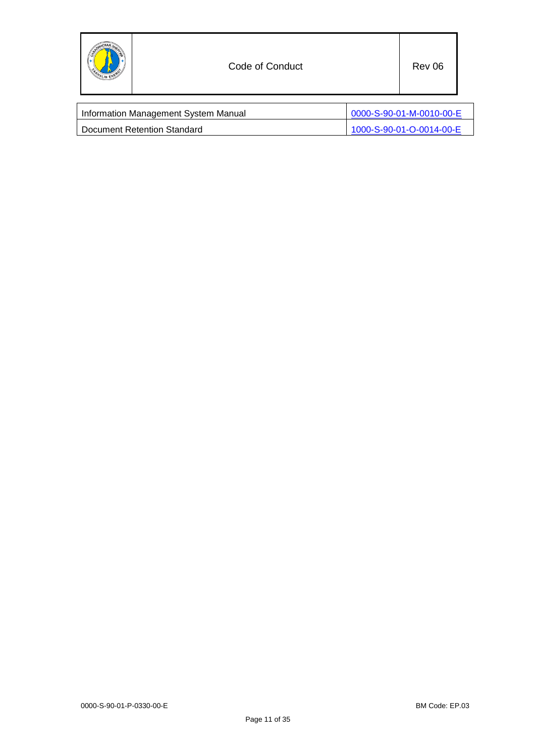

| Information Management System Manual | 0000-S-90-01-M-0010-00-E |
|--------------------------------------|--------------------------|
| Document Retention Standard          | 1000-S-90-01-O-0014-00-E |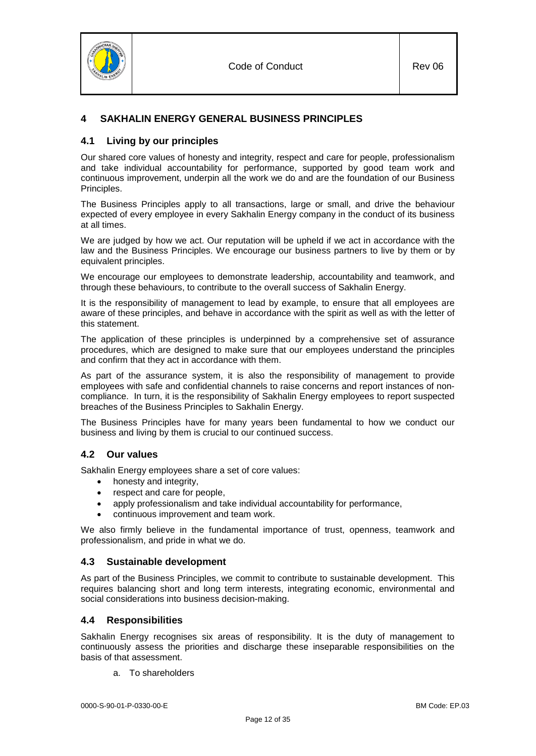

# <span id="page-11-1"></span><span id="page-11-0"></span>**4 SAKHALIN ENERGY GENERAL BUSINESS PRINCIPLES**

# **4.1 Living by our principles**

Our shared core values of honesty and integrity, respect and care for people, professionalism and take individual accountability for performance, supported by good team work and continuous improvement, underpin all the work we do and are the foundation of our Business Principles.

The Business Principles apply to all transactions, large or small, and drive the behaviour expected of every employee in every Sakhalin Energy company in the conduct of its business at all times.

We are judged by how we act. Our reputation will be upheld if we act in accordance with the law and the Business Principles. We encourage our business partners to live by them or by equivalent principles.

We encourage our employees to demonstrate leadership, accountability and teamwork, and through these behaviours, to contribute to the overall success of Sakhalin Energy.

It is the responsibility of management to lead by example, to ensure that all employees are aware of these principles, and behave in accordance with the spirit as well as with the letter of this statement.

The application of these principles is underpinned by a comprehensive set of assurance procedures, which are designed to make sure that our employees understand the principles and confirm that they act in accordance with them.

As part of the assurance system, it is also the responsibility of management to provide employees with safe and confidential channels to raise concerns and report instances of noncompliance. In turn, it is the responsibility of Sakhalin Energy employees to report suspected breaches of the Business Principles to Sakhalin Energy.

The Business Principles have for many years been fundamental to how we conduct our business and living by them is crucial to our continued success.

# <span id="page-11-2"></span>**4.2 Our values**

Sakhalin Energy employees share a set of core values:

- honesty and integrity,
- respect and care for people,
- apply professionalism and take individual accountability for performance,
- continuous improvement and team work.

We also firmly believe in the fundamental importance of trust, openness, teamwork and professionalism, and pride in what we do.

# <span id="page-11-3"></span>**4.3 Sustainable development**

As part of the Business Principles, we commit to contribute to sustainable development. This requires balancing short and long term interests, integrating economic, environmental and social considerations into business decision-making.

# <span id="page-11-4"></span>**4.4 Responsibilities**

Sakhalin Energy recognises six areas of responsibility. It is the duty of management to continuously assess the priorities and discharge these inseparable responsibilities on the basis of that assessment.

a. To shareholders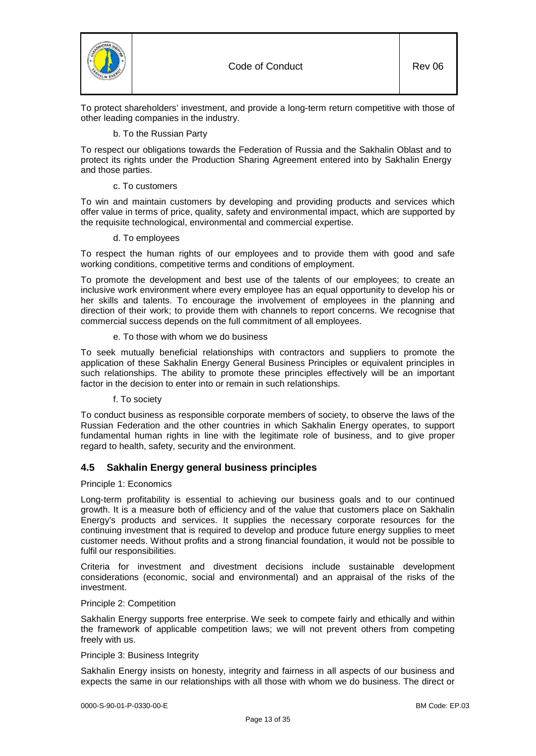

To protect shareholders' investment, and provide a long-term return competitive with those of other leading companies in the industry.

#### b. To the Russian Party

To respect our obligations towards the Federation of Russia and the Sakhalin Oblast and to protect its rights under the Production Sharing Agreement entered into by Sakhalin Energy and those parties.

## c. To customers

To win and maintain customers by developing and providing products and services which offer value in terms of price, quality, safety and environmental impact, which are supported by the requisite technological, environmental and commercial expertise.

#### d. To employees

To respect the human rights of our employees and to provide them with good and safe working conditions, competitive terms and conditions of employment.

To promote the development and best use of the talents of our employees; to create an inclusive work environment where every employee has an equal opportunity to develop his or her skills and talents. To encourage the involvement of employees in the planning and direction of their work; to provide them with channels to report concerns. We recognise that commercial success depends on the full commitment of all employees.

#### e. To those with whom we do business

To seek mutually beneficial relationships with contractors and suppliers to promote the application of these Sakhalin Energy General Business Principles or equivalent principles in such relationships. The ability to promote these principles effectively will be an important factor in the decision to enter into or remain in such relationships.

#### f. To society

To conduct business as responsible corporate members of society, to observe the laws of the Russian Federation and the other countries in which Sakhalin Energy operates, to support fundamental human rights in line with the legitimate role of business, and to give proper regard to health, safety, security and the environment.

# <span id="page-12-0"></span>**4.5 Sakhalin Energy general business principles**

#### Principle 1: Economics

Long-term profitability is essential to achieving our business goals and to our continued growth. It is a measure both of efficiency and of the value that customers place on Sakhalin Energy's products and services. It supplies the necessary corporate resources for the continuing investment that is required to develop and produce future energy supplies to meet customer needs. Without profits and a strong financial foundation, it would not be possible to fulfil our responsibilities.

Criteria for investment and divestment decisions include sustainable development considerations (economic, social and environmental) and an appraisal of the risks of the investment.

## Principle 2: Competition

Sakhalin Energy supports free enterprise. We seek to compete fairly and ethically and within the framework of applicable competition laws; we will not prevent others from competing freely with us.

#### Principle 3: Business Integrity

Sakhalin Energy insists on honesty, integrity and fairness in all aspects of our business and expects the same in our relationships with all those with whom we do business. The direct or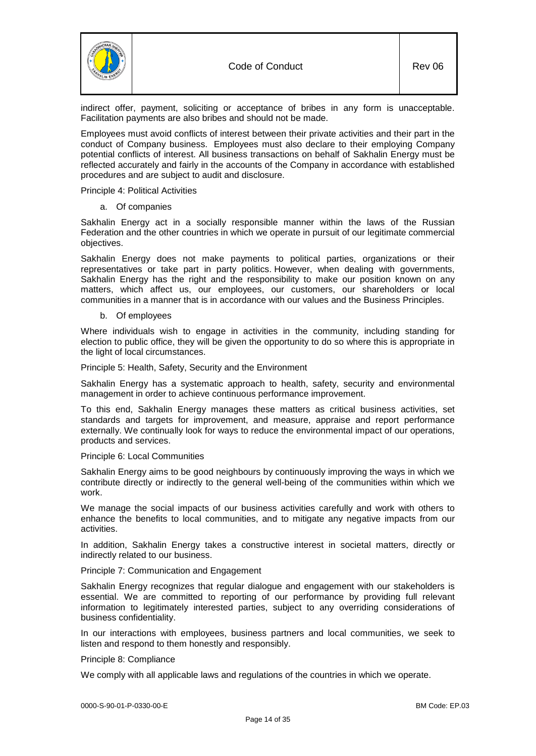

indirect offer, payment, soliciting or acceptance of bribes in any form is unacceptable. Facilitation payments are also bribes and should not be made.

Employees must avoid conflicts of interest between their private activities and their part in the conduct of Company business. Employees must also declare to their employing Company potential conflicts of interest. All business transactions on behalf of Sakhalin Energy must be reflected accurately and fairly in the accounts of the Company in accordance with established procedures and are subject to audit and disclosure.

Principle 4: Political Activities

a. Of companies

Sakhalin Energy act in a socially responsible manner within the laws of the Russian Federation and the other countries in which we operate in pursuit of our legitimate commercial objectives.

Sakhalin Energy does not make payments to political parties, organizations or their representatives or take part in party politics. However, when dealing with governments, Sakhalin Energy has the right and the responsibility to make our position known on any matters, which affect us, our employees, our customers, our shareholders or local communities in a manner that is in accordance with our values and the Business Principles.

b. Of employees

Where individuals wish to engage in activities in the community, including standing for election to public office, they will be given the opportunity to do so where this is appropriate in the light of local circumstances.

Principle 5: Health, Safety, Security and the Environment

Sakhalin Energy has a systematic approach to health, safety, security and environmental management in order to achieve continuous performance improvement.

To this end, Sakhalin Energy manages these matters as critical business activities, set standards and targets for improvement, and measure, appraise and report performance externally. We continually look for ways to reduce the environmental impact of our operations, products and services.

#### Principle 6: Local Communities

Sakhalin Energy aims to be good neighbours by continuously improving the ways in which we contribute directly or indirectly to the general well-being of the communities within which we work.

We manage the social impacts of our business activities carefully and work with others to enhance the benefits to local communities, and to mitigate any negative impacts from our activities.

In addition, Sakhalin Energy takes a constructive interest in societal matters, directly or indirectly related to our business.

# Principle 7: Communication and Engagement

Sakhalin Energy recognizes that regular dialogue and engagement with our stakeholders is essential. We are committed to reporting of our performance by providing full relevant information to legitimately interested parties, subject to any overriding considerations of business confidentiality.

In our interactions with employees, business partners and local communities, we seek to listen and respond to them honestly and responsibly.

#### Principle 8: Compliance

We comply with all applicable laws and regulations of the countries in which we operate.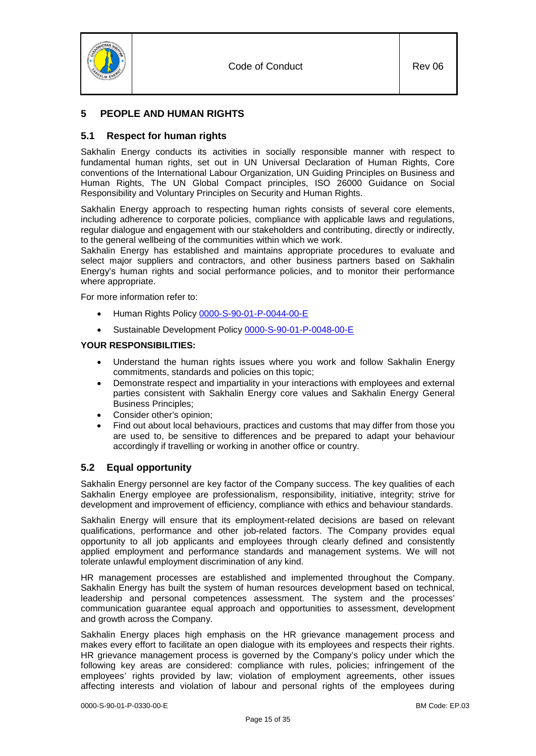



# <span id="page-14-0"></span>**5 PEOPLE AND HUMAN RIGHTS**

# <span id="page-14-1"></span>**5.1 Respect for human rights**

Sakhalin Energy conducts its activities in socially responsible manner with respect to fundamental human rights, set out in UN Universal Declaration of Human Rights, Core conventions of the International Labour Organization, UN Guiding Principles on Business and Human Rights, The UN Global Compact principles, ISO 26000 Guidance on Social Responsibility and Voluntary Principles on Security and Human Rights.

Sakhalin Energy approach to respecting human rights consists of several core elements, including adherence to corporate policies, compliance with applicable laws and regulations, regular dialogue and engagement with our stakeholders and contributing, directly or indirectly, to the general wellbeing of the communities within which we work.

Sakhalin Energy has established and maintains appropriate procedures to evaluate and select major suppliers and contractors, and other business partners based on Sakhalin Energy's human rights and social performance policies, and to monitor their performance where appropriate.

For more information refer to:

- Human Rights Policy [0000-S-90-01-P-0044-00-](https://sww-llsak.sakhalinenergy.ru/glasseic/livelink.exe?func=ll&objId=62407657&objAction=browse&sort=name)E
- Sustainable Development Policy [0000-S-90-01-P-0048-00-E](http://www.sakhalinenergy.com/media/bdc655ef-2810-4047-abd3-13f96bcd8076.pdf)

## **YOUR RESPONSIBILITIES:**

- Understand the human rights issues where you work and follow Sakhalin Energy commitments, standards and policies on this topic;
- Demonstrate respect and impartiality in your interactions with employees and external parties consistent with Sakhalin Energy core values and Sakhalin Energy General Business Principles;
- Consider other's opinion;
- Find out about local behaviours, practices and customs that may differ from those you are used to, be sensitive to differences and be prepared to adapt your behaviour accordingly if travelling or working in another office or country.

# <span id="page-14-2"></span>**5.2 Equal opportunity**

Sakhalin Energy personnel are key factor of the Company success. The key qualities of each Sakhalin Energy employee are professionalism, responsibility, initiative, integrity; strive for development and improvement of efficiency, compliance with ethics and behaviour standards.

Sakhalin Energy will ensure that its employment-related decisions are based on relevant qualifications, performance and other job-related factors. The Company provides equal opportunity to all job applicants and employees through clearly defined and consistently applied employment and performance standards and management systems. We will not tolerate unlawful employment discrimination of any kind.

HR management processes are established and implemented throughout the Company. Sakhalin Energy has built the system of human resources development based on technical, leadership and personal competences assessment. The system and the processes' communication guarantee equal approach and opportunities to assessment, development and growth across the Company.

Sakhalin Energy places high emphasis on the HR grievance management process and makes every effort to facilitate an open dialogue with its employees and respects their rights. HR grievance management process is governed by the Company's policy under which the following key areas are considered: compliance with rules, policies; infringement of the employees' rights provided by law; violation of employment agreements, other issues affecting interests and violation of labour and personal rights of the employees during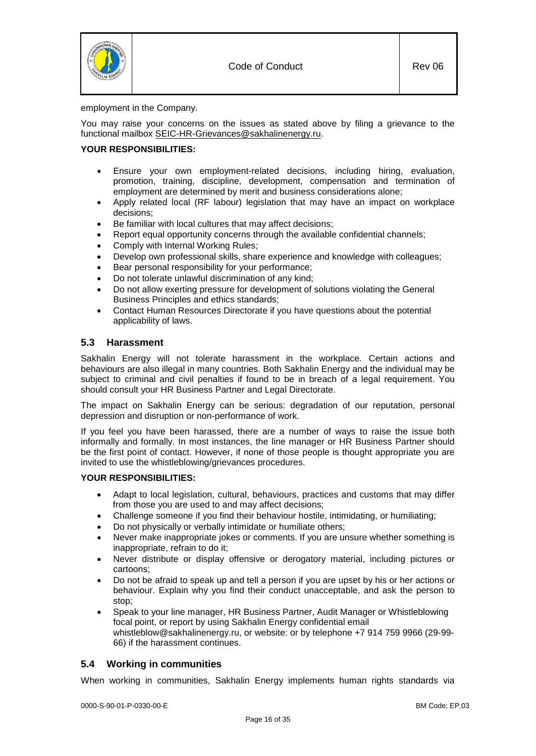

employment in the Company.

You may raise your concerns on the issues as stated above by filing a grievance to the functional mailbox [SEIC-HR-Grievances@sakhalinenergy.ru.](mailto:SEIC-HR-Grievances@sakhalinenergy.ru)

## **YOUR RESPONSIBILITIES:**

- Ensure your own employment-related decisions, including hiring, evaluation, promotion, training, discipline, development, compensation and termination of employment are determined by merit and business considerations alone;
- Apply related local (RF labour) legislation that may have an impact on workplace decisions;
- Be familiar with local cultures that may affect decisions;
- Report equal opportunity concerns through the available confidential channels;
- Comply with Internal Working Rules;
- Develop own professional skills, share experience and knowledge with colleagues;
- Bear personal responsibility for your performance;
- Do not tolerate unlawful discrimination of any kind;
- Do not allow exerting pressure for development of solutions violating the General Business Principles and ethics standards;
- Contact Human Resources Directorate if you have questions about the potential applicability of laws.

## <span id="page-15-0"></span>**5.3 Harassment**

Sakhalin Energy will not tolerate harassment in the workplace. Certain actions and behaviours are also illegal in many countries. Both Sakhalin Energy and the individual may be subject to criminal and civil penalties if found to be in breach of a legal requirement. You should consult your HR Business Partner and Legal Directorate.

The impact on Sakhalin Energy can be serious: degradation of our reputation, personal depression and disruption or non-performance of work.

If you feel you have been harassed, there are a number of ways to raise the issue both informally and formally. In most instances, the line manager or HR Business Partner should be the first point of contact. However, if none of those people is thought appropriate you are invited to use the whistleblowing/grievances procedures.

## **YOUR RESPONSIBILITIES:**

- Adapt to local legislation, cultural, behaviours, practices and customs that may differ from those you are used to and may affect decisions;
- Challenge someone if you find their behaviour hostile, intimidating, or humiliating;
- Do not physically or verbally intimidate or humiliate others;
- Never make inappropriate jokes or comments. If you are unsure whether something is inappropriate, refrain to do it;
- Never distribute or display offensive or derogatory material, including pictures or cartoons;
- Do not be afraid to speak up and tell a person if you are upset by his or her actions or behaviour. Explain why you find their conduct unacceptable, and ask the person to stop;
- Speak to your line manager, HR Business Partner, Audit Manager or Whistleblowing focal point, or report by using Sakhalin Energy confidential email whistleblow@sakhalinenergy.ru, or website: or by telephone +7 914 759 9966 (29-99- 66) if the harassment continues.

# <span id="page-15-1"></span>**5.4 Working in communities**

When working in communities, Sakhalin Energy implements human rights standards via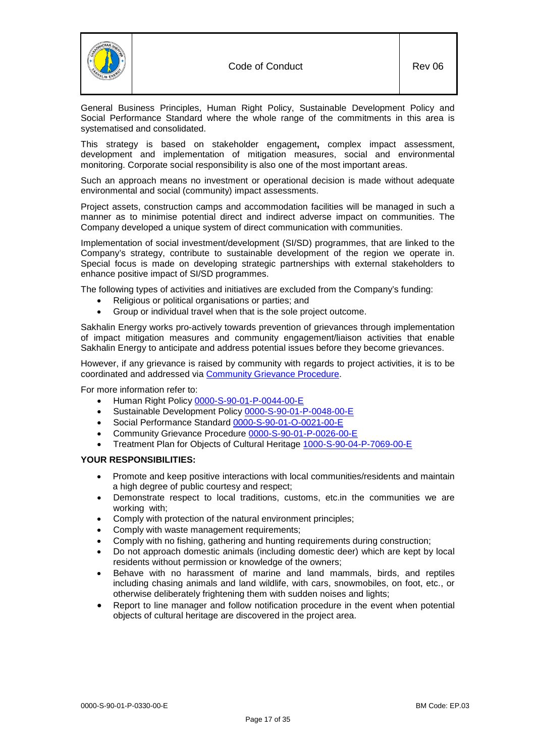

General Business Principles, Human Right Policy, Sustainable Development Policy and Social Performance Standard where the whole range of the commitments in this area is systematised and consolidated.

This strategy is based on stakeholder engagement**,** complex impact assessment, development and implementation of mitigation measures, social and environmental monitoring. Corporate social responsibility is also one of the most important areas.

Such an approach means no investment or operational decision is made without adequate environmental and social (community) impact assessments.

Project assets, construction camps and accommodation facilities will be managed in such a manner as to minimise potential direct and indirect adverse impact on communities. The Company developed a unique system of direct communication with communities.

Implementation of social investment/development (SI/SD) programmes, that are linked to the Company's strategy, contribute to sustainable development of the region we operate in. Special focus is made on developing strategic partnerships with external stakeholders to enhance positive impact of SI/SD programmes.

The following types of activities and initiatives are excluded from the Company's funding:

- Religious or political organisations or parties; and
- Group or individual travel when that is the sole project outcome.

Sakhalin Energy works pro-actively towards prevention of grievances through implementation of impact mitigation measures and community engagement/liaison activities that enable Sakhalin Energy to anticipate and address potential issues before they become grievances.

However, if any grievance is raised by community with regards to project activities, it is to be coordinated and addressed via [Community Grievance Procedure.](https://sww-llsak.sakhalinenergy.ru/glasseic/livelink.exe/fetch/-291233/292325/292334/3205111/Community_Grievance_Procedure.pdf?nodeid=61949944&vernum=2)

For more information refer to:

- Human Right Policy [0000-S-90-01-P-0044-00-](https://sww-llsak.sakhalinenergy.ru/glasseic/livelink.exe?func=ll&objId=62407657&objAction=browse&sort=name)E
- Sustainable Development Policy [0000-S-90-01-P-0048-00-E](http://www.sakhalinenergy.com/media/bdc655ef-2810-4047-abd3-13f96bcd8076.pdf)
- Social Performance Standard [0000-S-90-01-O-0021-00-](https://sww-llsak.sakhalinenergy.ru/glasseic/livelink.exe?func=ll&objId=60484855&objAction=browse)E
- Community Grievance Procedure [0000-S-90-01-P-0026-00-E](https://sww-llsak.sakhalinenergy.ru/glasseic/livelink.exe?func=ll&objId=3205111&objAction=browse&sort=name)
- Treatment Plan for Objects of Cultural Heritage [1000-S-90-04-P-7069-00-E](https://sww-llsak.sakhalinenergy.ru/glasseic/livelink.exe?func=ll&objId=306990&objAction=browse&sort=name)

# **YOUR RESPONSIBILITIES:**

- Promote and keep positive interactions with local communities/residents and maintain a high degree of public courtesy and respect;
- Demonstrate respect to local traditions, customs, etc.in the communities we are working with;
- Comply with protection of the natural environment principles;
- Comply with waste management requirements;
- Comply with no fishing, gathering and hunting requirements during construction;
- Do not approach domestic animals (including domestic deer) which are kept by local residents without permission or knowledge of the owners;
- Behave with no harassment of marine and land mammals, birds, and reptiles including chasing animals and land wildlife, with cars, snowmobiles, on foot, etc., or otherwise deliberately frightening them with sudden noises and lights;
- Report to line manager and follow notification procedure in the event when potential objects of cultural heritage are discovered in the project area.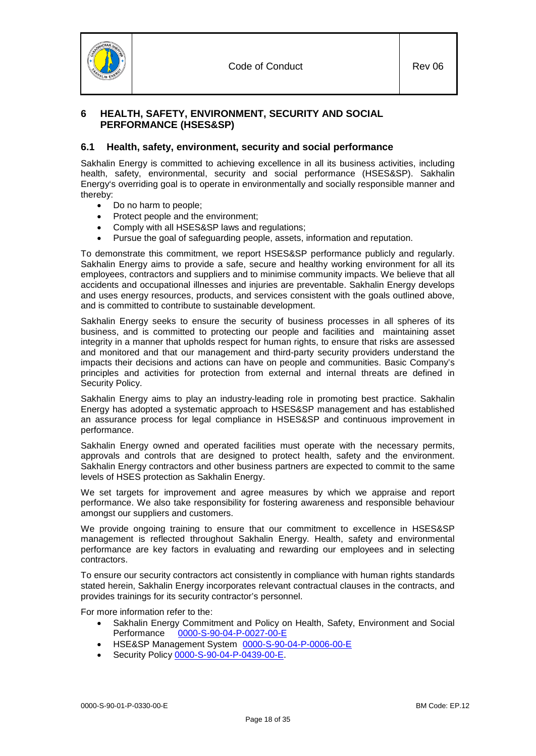

# <span id="page-17-0"></span>**6 HEALTH, SAFETY, ENVIRONMENT, SECURITY AND SOCIAL PERFORMANCE (HSES&SP)**

# <span id="page-17-1"></span>**6.1 Health, safety, environment, security and social performance**

Sakhalin Energy is committed to achieving excellence in all its business activities, including health, safety, environmental, security and social performance (HSES&SP). Sakhalin Energy's overriding goal is to operate in environmentally and socially responsible manner and thereby:

- Do no harm to people;
- Protect people and the environment;
- Comply with all HSES&SP laws and regulations;
- Pursue the goal of safeguarding people, assets, information and reputation.

To demonstrate this commitment, we report HSES&SP performance publicly and regularly. Sakhalin Energy aims to provide a safe, secure and healthy working environment for all its employees, contractors and suppliers and to minimise community impacts. We believe that all accidents and occupational illnesses and injuries are preventable. Sakhalin Energy develops and uses energy resources, products, and services consistent with the goals outlined above, and is committed to contribute to sustainable development.

Sakhalin Energy seeks to ensure the security of business processes in all spheres of its business, and is committed to protecting our people and facilities and maintaining asset integrity in a manner that upholds respect for human rights, to ensure that risks are assessed and monitored and that our management and third-party security providers understand the impacts their decisions and actions can have on people and communities. Basic Company's principles and activities for protection from external and internal threats are defined in Security Policy.

Sakhalin Energy aims to play an industry-leading role in promoting best practice. Sakhalin Energy has adopted a systematic approach to HSES&SP management and has established an assurance process for legal compliance in HSES&SP and continuous improvement in performance.

Sakhalin Energy owned and operated facilities must operate with the necessary permits, approvals and controls that are designed to protect health, safety and the environment. Sakhalin Energy contractors and other business partners are expected to commit to the same levels of HSES protection as Sakhalin Energy.

We set targets for improvement and agree measures by which we appraise and report performance. We also take responsibility for fostering awareness and responsible behaviour amongst our suppliers and customers.

We provide ongoing training to ensure that our commitment to excellence in HSES&SP management is reflected throughout Sakhalin Energy. Health, safety and environmental performance are key factors in evaluating and rewarding our employees and in selecting contractors.

To ensure our security contractors act consistently in compliance with human rights standards stated herein, Sakhalin Energy incorporates relevant contractual clauses in the contracts, and provides trainings for its security contractor's personnel.

For more information refer to the:

- Sakhalin Energy Commitment and Policy on Health, Safety, Environment and Social<br>Performance 0000-S-90-04-P-0027-00-E [0000-S-90-04-P-0027-00-](https://sww-llsak.sakhalinenergy.ru/glasseic/livelink.exe?func=ll&objId=313057&objAction=browse)E
- HSE&SP Management System [0000-S-90-04-P-0006-00-](https://sww-llsak.sakhalinenergy.ru/glasseic/livelink.exe?func=ll&objId=313101&objAction=browse)E
- Security Policy [0000-S-90-04-P-0439-00-](https://sww-llsak.sakhalinenergy.ru/glasseic/livelink.exe?func=ll&objId=62389185&objAction=browse)E.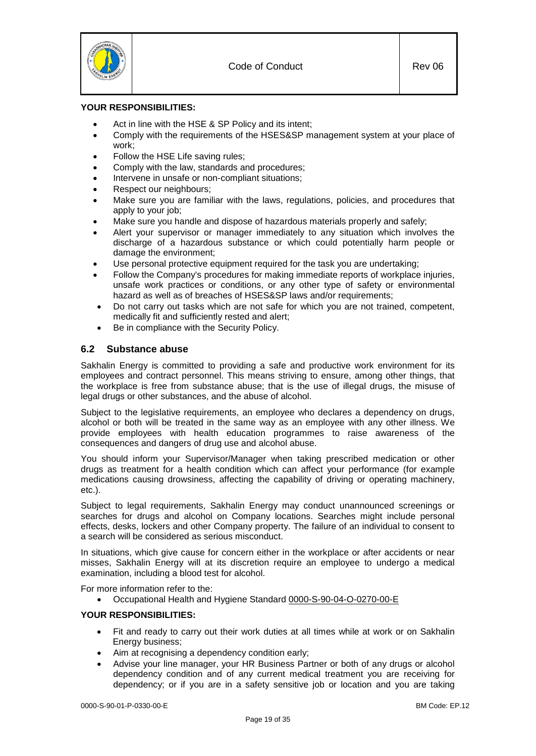

## **YOUR RESPONSIBILITIES:**

- Act in line with the HSE & SP Policy and its intent;
- Comply with the requirements of the HSES&SP management system at your place of work;
- Follow the HSE Life saving rules:
- Comply with the law, standards and procedures;
- Intervene in unsafe or non-compliant situations;
- Respect our neighbours;
- Make sure you are familiar with the laws, regulations, policies, and procedures that apply to your job;
- Make sure you handle and dispose of hazardous materials properly and safely;
- Alert your supervisor or manager immediately to any situation which involves the discharge of a hazardous substance or which could potentially harm people or damage the environment;
- Use personal protective equipment required for the task you are undertaking;
- Follow the Company's procedures for making immediate reports of workplace injuries, unsafe work practices or conditions, or any other type of safety or environmental hazard as well as of breaches of HSES&SP laws and/or requirements;
- Do not carry out tasks which are not safe for which you are not trained, competent, medically fit and sufficiently rested and alert;
- Be in compliance with the Security Policy.

# <span id="page-18-0"></span>**6.2 Substance abuse**

Sakhalin Energy is committed to providing a safe and productive work environment for its employees and contract personnel. This means striving to ensure, among other things, that the workplace is free from substance abuse; that is the use of illegal drugs, the misuse of legal drugs or other substances, and the abuse of alcohol.

Subject to the legislative requirements, an employee who declares a dependency on drugs, alcohol or both will be treated in the same way as an employee with any other illness. We provide employees with health education programmes to raise awareness of the consequences and dangers of drug use and alcohol abuse.

You should inform your Supervisor/Manager when taking prescribed medication or other drugs as treatment for a health condition which can affect your performance (for example medications causing drowsiness, affecting the capability of driving or operating machinery, etc.).

Subject to legal requirements, Sakhalin Energy may conduct unannounced screenings or searches for drugs and alcohol on Company locations. Searches might include personal effects, desks, lockers and other Company property. The failure of an individual to consent to a search will be considered as serious misconduct.

In situations, which give cause for concern either in the workplace or after accidents or near misses, Sakhalin Energy will at its discretion require an employee to undergo a medical examination, including a blood test for alcohol.

For more information refer to the:

• Occupational Health and Hygiene Standard [0000-S-90-04-O-0270-00-](https://sww-llsak.sakhalinenergy.ru/glasseic/livelink.exe?func=ll&objId=402156&objAction=browse)E

## **YOUR RESPONSIBILITIES:**

- Fit and ready to carry out their work duties at all times while at work or on Sakhalin Energy business;
- Aim at recognising a dependency condition early;
- Advise your line manager, your HR Business Partner or both of any drugs or alcohol dependency condition and of any current medical treatment you are receiving for dependency; or if you are in a safety sensitive job or location and you are taking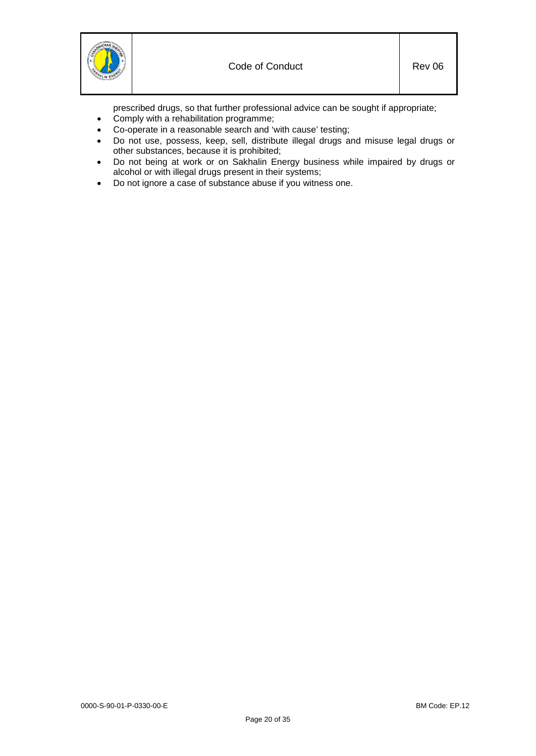prescribed drugs, so that further professional advice can be sought if appropriate;

- Comply with a rehabilitation programme;
- Co-operate in a reasonable search and 'with cause' testing;
- Do not use, possess, keep, sell, distribute illegal drugs and misuse legal drugs or other substances, because it is prohibited;
- Do not being at work or on Sakhalin Energy business while impaired by drugs or alcohol or with illegal drugs present in their systems;
- Do not ignore a case of substance abuse if you witness one.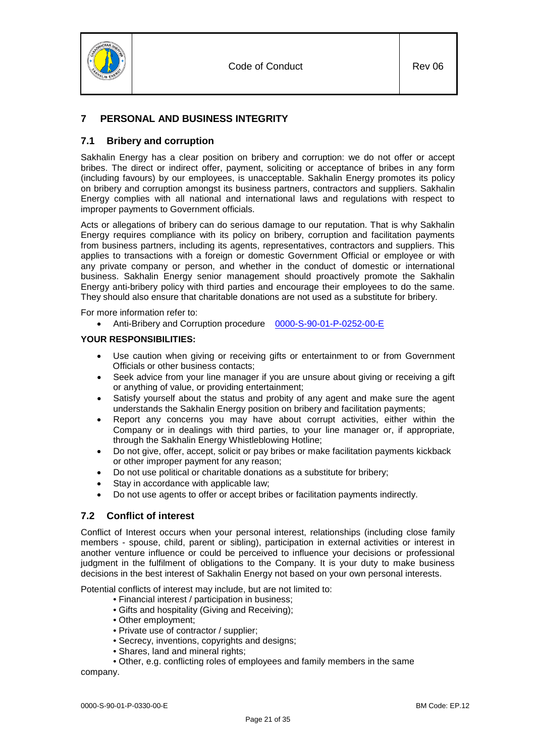

# <span id="page-20-0"></span>**7 PERSONAL AND BUSINESS INTEGRITY**

# <span id="page-20-1"></span>**7.1 Bribery and corruption**

Sakhalin Energy has a clear position on bribery and corruption: we do not offer or accept bribes. The direct or indirect offer, payment, soliciting or acceptance of bribes in any form (including favours) by our employees, is unacceptable. Sakhalin Energy promotes its policy on bribery and corruption amongst its business partners, contractors and suppliers. Sakhalin Energy complies with all national and international laws and regulations with respect to improper payments to Government officials.

Acts or allegations of bribery can do serious damage to our reputation. That is why Sakhalin Energy requires compliance with its policy on bribery, corruption and facilitation payments from business partners, including its agents, representatives, contractors and suppliers. This applies to transactions with a foreign or domestic Government Official or employee or with any private company or person, and whether in the conduct of domestic or international business. Sakhalin Energy senior management should proactively promote the Sakhalin Energy anti-bribery policy with third parties and encourage their employees to do the same. They should also ensure that charitable donations are not used as a substitute for bribery.

For more information refer to:

• Anti-Bribery and Corruption procedure [0000-S-90-01-P-0252-00-](https://sww-llsak.sakhalinenergy.ru/glasseic/livelink.exe?func=ll&objId=33964835&objAction=browse&sort=name)E

# **YOUR RESPONSIBILITIES:**

- Use caution when giving or receiving gifts or entertainment to or from Government Officials or other business contacts;
- Seek advice from your line manager if you are unsure about giving or receiving a gift or anything of value, or providing entertainment;
- Satisfy yourself about the status and probity of any agent and make sure the agent understands the Sakhalin Energy position on bribery and facilitation payments;
- Report any concerns you may have about corrupt activities, either within the Company or in dealings with third parties, to your line manager or, if appropriate, through the Sakhalin Energy Whistleblowing Hotline;
- Do not give, offer, accept, solicit or pay bribes or make facilitation payments kickback or other improper payment for any reason;
- Do not use political or charitable donations as a substitute for bribery;
- Stay in accordance with applicable law;
- Do not use agents to offer or accept bribes or facilitation payments indirectly.

# <span id="page-20-2"></span>**7.2 Conflict of interest**

Conflict of Interest occurs when your personal interest, relationships (including close family members - spouse, child, parent or sibling), participation in external activities or interest in another venture influence or could be perceived to influence your decisions or professional judgment in the fulfilment of obligations to the Company. It is your duty to make business decisions in the best interest of Sakhalin Energy not based on your own personal interests.

Potential conflicts of interest may include, but are not limited to:

- Financial interest / participation in business;
- Gifts and hospitality (Giving and Receiving);
- Other employment;
- Private use of contractor / supplier;
- Secrecy, inventions, copyrights and designs;
- Shares, land and mineral rights;
- Other, e.g. conflicting roles of employees and family members in the same

company.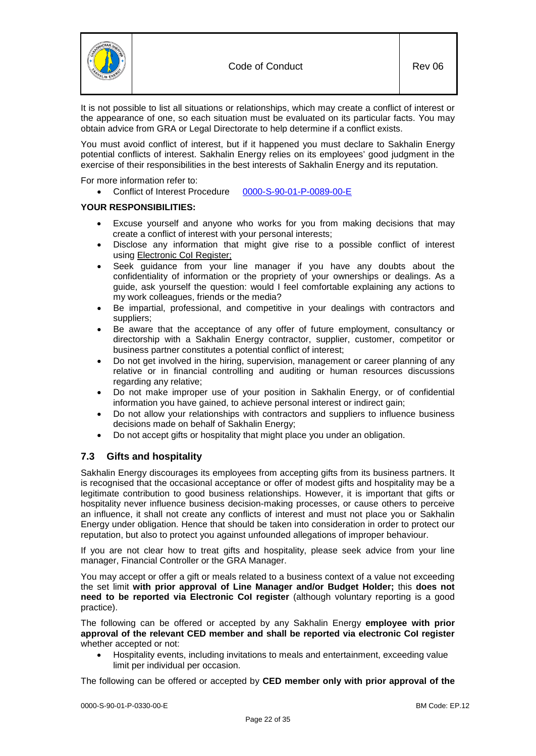

It is not possible to list all situations or relationships, which may create a conflict of interest or the appearance of one, so each situation must be evaluated on its particular facts. You may obtain advice from GRA or Legal Directorate to help determine if a conflict exists.

You must avoid conflict of interest, but if it happened you must declare to Sakhalin Energy potential conflicts of interest. Sakhalin Energy relies on its employees' good judgment in the exercise of their responsibilities in the best interests of Sakhalin Energy and its reputation.

For more information refer to:

• Conflict of Interest Procedure [0000-S-90-01-P-0089-00-](https://sww-llsak.sakhalinenergy.ru/glasseic/livelink.exe?func=ll&objId=907332&objAction=browse)E

## **YOUR RESPONSIBILITIES:**

- Excuse yourself and anyone who works for you from making decisions that may create a conflict of interest with your personal interests;
- Disclose any information that might give rise to a possible conflict of interest using [Electronic CoI Register;](http://sapport.sakhalinenergy.ru:50100/irj/portal)
- Seek guidance from your line manager if you have any doubts about the confidentiality of information or the propriety of your ownerships or dealings. As a guide, ask yourself the question: would I feel comfortable explaining any actions to my work colleagues, friends or the media?
- Be impartial, professional, and competitive in your dealings with contractors and suppliers;
- Be aware that the acceptance of any offer of future employment, consultancy or directorship with a Sakhalin Energy contractor, supplier, customer, competitor or business partner constitutes a potential conflict of interest;
- Do not get involved in the hiring, supervision, management or career planning of any relative or in financial controlling and auditing or human resources discussions regarding any relative;
- Do not make improper use of your position in Sakhalin Energy, or of confidential information you have gained, to achieve personal interest or indirect gain;
- Do not allow your relationships with contractors and suppliers to influence business decisions made on behalf of Sakhalin Energy;
- Do not accept gifts or hospitality that might place you under an obligation.

# <span id="page-21-0"></span>**7.3 Gifts and hospitality**

Sakhalin Energy discourages its employees from accepting gifts from its business partners. It is recognised that the occasional acceptance or offer of modest gifts and hospitality may be a legitimate contribution to good business relationships. However, it is important that gifts or hospitality never influence business decision-making processes, or cause others to perceive an influence, it shall not create any conflicts of interest and must not place you or Sakhalin Energy under obligation. Hence that should be taken into consideration in order to protect our reputation, but also to protect you against unfounded allegations of improper behaviour.

If you are not clear how to treat gifts and hospitality, please seek advice from your line manager, Financial Controller or the GRA Manager.

You may accept or offer a gift or meals related to a business context of a value not exceeding the set limit **with prior approval of Line Manager and/or Budget Holder;** this **does not need to be reported via Electronic CoI register** (although voluntary reporting is a good practice).

The following can be offered or accepted by any Sakhalin Energy **employee with prior approval of the relevant CED member and shall be reported via electronic CoI register** whether accepted or not:

• Hospitality events, including invitations to meals and entertainment, exceeding value limit per individual per occasion.

The following can be offered or accepted by **CED member only with prior approval of the**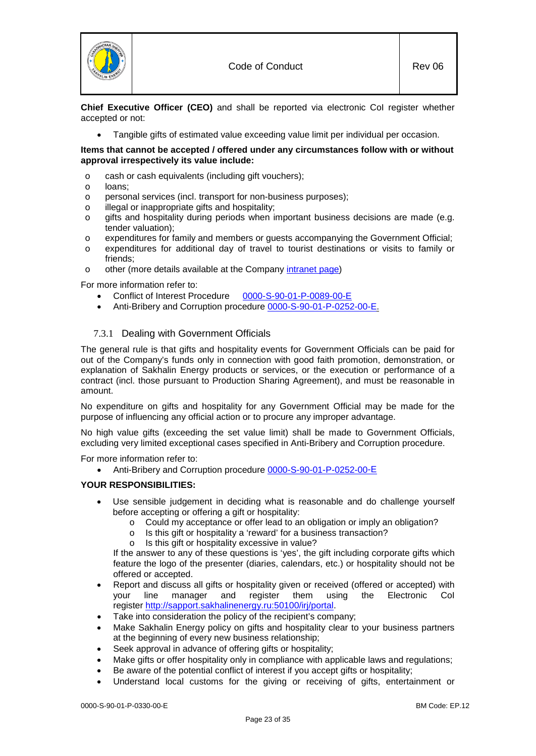

**Chief Executive Officer (CEO)** and shall be reported via electronic CoI register whether accepted or not:

• Tangible gifts of estimated value exceeding value limit per individual per occasion.

#### **Items that cannot be accepted / offered under any circumstances follow with or without approval irrespectively its value include:**

- o cash or cash equivalents (including gift vouchers);
- loans:
- o personal services (incl. transport for non-business purposes);
- o illegal or inappropriate gifts and hospitality;
- o gifts and hospitality during periods when important business decisions are made (e.g. tender valuation);
- o expenditures for family and members or guests accompanying the Government Official;
- expenditures for additional day of travel to tourist destinations or visits to family or friends;
- o other (more details available at the Company [intranet page\)](http://sww.sakhalinenergy.ru/seic/fd/ac/buseth/CoI_E.html)

For more information refer to:

- Conflict of Interest Procedure [0000-S-90-01-P-0089-00-](https://sww-llsak.sakhalinenergy.ru/glasseic/livelink.exe?func=ll&objId=907332&objAction=browse)E
- Anti-Bribery and Corruption procedure [0000-S-90-01-P-0252-00-](https://sww-llsak.sakhalinenergy.ru/glasseic/livelink.exe?func=ll&objId=33964835&objAction=browse&sort=name)E.

# <span id="page-22-0"></span>7.3.1 Dealing with Government Officials

The general rule is that gifts and hospitality events for Government Officials can be paid for out of the Company's funds only in connection with good faith promotion, demonstration, or explanation of Sakhalin Energy products or services, or the execution or performance of a contract (incl. those pursuant to Production Sharing Agreement), and must be reasonable in amount.

No expenditure on gifts and hospitality for any Government Official may be made for the purpose of influencing any official action or to procure any improper advantage.

No high value gifts (exceeding the set value limit) shall be made to Government Officials, excluding very limited exceptional cases specified in Anti-Bribery and Corruption procedure.

For more information refer to:

• Anti-Bribery and Corruption procedure [0000-S-90-01-P-0252-00-](https://sww-llsak.sakhalinenergy.ru/glasseic/livelink.exe?func=ll&objId=33964835&objAction=browse&sort=name)E

## **YOUR RESPONSIBILITIES:**

- Use sensible judgement in deciding what is reasonable and do challenge yourself before accepting or offering a gift or hospitality:
	- o Could my acceptance or offer lead to an obligation or imply an obligation?
	- o Is this gift or hospitality a 'reward' for a business transaction?
	- o Is this gift or hospitality excessive in value?

If the answer to any of these questions is 'yes', the gift including corporate gifts which feature the logo of the presenter (diaries, calendars, etc.) or hospitality should not be offered or accepted.

- Report and discuss all gifts or hospitality given or received (offered or accepted) with your line manager and register them using the Electronic CoI register [http://sapport.sakhalinenergy.ru:50100/irj/portal.](http://sapport.sakhalinenergy.ru:50100/irj/portal)
- Take into consideration the policy of the recipient's company;
- Make Sakhalin Energy policy on gifts and hospitality clear to your business partners at the beginning of every new business relationship;
- Seek approval in advance of offering gifts or hospitality;
- Make gifts or offer hospitality only in compliance with applicable laws and regulations;
- Be aware of the potential conflict of interest if you accept gifts or hospitality;
- Understand local customs for the giving or receiving of gifts, entertainment or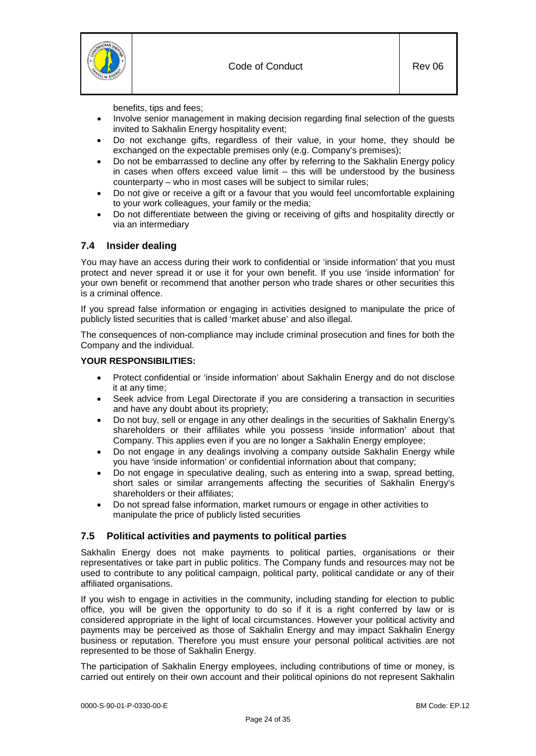

benefits, tips and fees;

- Involve senior management in making decision regarding final selection of the guests invited to Sakhalin Energy hospitality event;
- Do not exchange gifts, regardless of their value, in your home, they should be exchanged on the expectable premises only (e.g. Company's premises);
- Do not be embarrassed to decline any offer by referring to the Sakhalin Energy policy in cases when offers exceed value limit – this will be understood by the business counterparty – who in most cases will be subject to similar rules;
- Do not give or receive a gift or a favour that you would feel uncomfortable explaining to your work colleagues, your family or the media;
- Do not differentiate between the giving or receiving of gifts and hospitality directly or via an intermediary

# <span id="page-23-0"></span>**7.4 Insider dealing**

You may have an access during their work to confidential or 'inside information' that you must protect and never spread it or use it for your own benefit. If you use 'inside information' for your own benefit or recommend that another person who trade shares or other securities this is a criminal offence.

If you spread false information or engaging in activities designed to manipulate the price of publicly listed securities that is called 'market abuse' and also illegal.

The consequences of non-compliance may include criminal prosecution and fines for both the Company and the individual.

#### **YOUR RESPONSIBILITIES:**

- Protect confidential or 'inside information' about Sakhalin Energy and do not disclose it at any time;
- Seek advice from Legal Directorate if you are considering a transaction in securities and have any doubt about its propriety;
- Do not buy, sell or engage in any other dealings in the securities of Sakhalin Energy's shareholders or their affiliates while you possess 'inside information' about that Company. This applies even if you are no longer a Sakhalin Energy employee;
- Do not engage in any dealings involving a company outside Sakhalin Energy while you have 'inside information' or confidential information about that company;
- Do not engage in speculative dealing, such as entering into a swap, spread betting, short sales or similar arrangements affecting the securities of Sakhalin Energy's shareholders or their affiliates;
- Do not spread false information, market rumours or engage in other activities to manipulate the price of publicly listed securities

# <span id="page-23-1"></span>**7.5 Political activities and payments to political parties**

Sakhalin Energy does not make payments to political parties, organisations or their representatives or take part in public politics. The Company funds and resources may not be used to contribute to any political campaign, political party, political candidate or any of their affiliated organisations.

If you wish to engage in activities in the community, including standing for election to public office, you will be given the opportunity to do so if it is a right conferred by law or is considered appropriate in the light of local circumstances. However your political activity and payments may be perceived as those of Sakhalin Energy and may impact Sakhalin Energy business or reputation. Therefore you must ensure your personal political activities are not represented to be those of Sakhalin Energy.

The participation of Sakhalin Energy employees, including contributions of time or money, is carried out entirely on their own account and their political opinions do not represent Sakhalin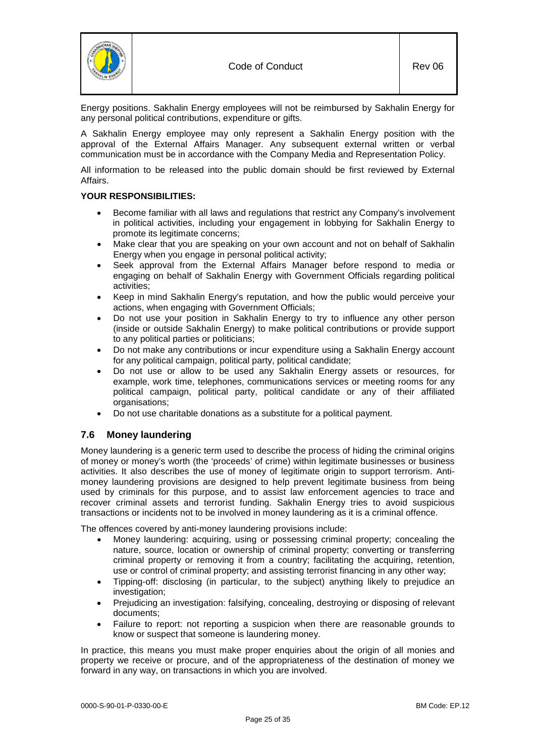

Energy positions. Sakhalin Energy employees will not be reimbursed by Sakhalin Energy for any personal political contributions, expenditure or gifts.

A Sakhalin Energy employee may only represent a Sakhalin Energy position with the approval of the External Affairs Manager. Any subsequent external written or verbal communication must be in accordance with the Company Media and Representation Policy.

All information to be released into the public domain should be first reviewed by External Affairs.

## **YOUR RESPONSIBILITIES:**

- Become familiar with all laws and regulations that restrict any Company's involvement in political activities, including your engagement in lobbying for Sakhalin Energy to promote its legitimate concerns;
- Make clear that you are speaking on your own account and not on behalf of Sakhalin Energy when you engage in personal political activity;
- Seek approval from the External Affairs Manager before respond to media or engaging on behalf of Sakhalin Energy with Government Officials regarding political activities;
- Keep in mind Sakhalin Energy's reputation, and how the public would perceive your actions, when engaging with Government Officials;
- Do not use your position in Sakhalin Energy to try to influence any other person (inside or outside Sakhalin Energy) to make political contributions or provide support to any political parties or politicians;
- Do not make any contributions or incur expenditure using a Sakhalin Energy account for any political campaign, political party, political candidate;
- Do not use or allow to be used any Sakhalin Energy assets or resources, for example, work time, telephones, communications services or meeting rooms for any political campaign, political party, political candidate or any of their affiliated organisations;
- Do not use charitable donations as a substitute for a political payment.

# <span id="page-24-0"></span>**7.6 Money laundering**

Money laundering is a generic term used to describe the process of hiding the criminal origins of money or money's worth (the 'proceeds' of crime) within legitimate businesses or business activities. It also describes the use of money of legitimate origin to support terrorism. Antimoney laundering provisions are designed to help prevent legitimate business from being used by criminals for this purpose, and to assist law enforcement agencies to trace and recover criminal assets and terrorist funding. Sakhalin Energy tries to avoid suspicious transactions or incidents not to be involved in money laundering as it is a criminal offence.

The offences covered by anti-money laundering provisions include:

- Money laundering: acquiring, using or possessing criminal property; concealing the nature, source, location or ownership of criminal property; converting or transferring criminal property or removing it from a country; facilitating the acquiring, retention, use or control of criminal property; and assisting terrorist financing in any other way;
- Tipping-off: disclosing (in particular, to the subject) anything likely to prejudice an investigation;
- Prejudicing an investigation: falsifying, concealing, destroying or disposing of relevant documents;
- Failure to report: not reporting a suspicion when there are reasonable grounds to know or suspect that someone is laundering money.

In practice, this means you must make proper enquiries about the origin of all monies and property we receive or procure, and of the appropriateness of the destination of money we forward in any way, on transactions in which you are involved.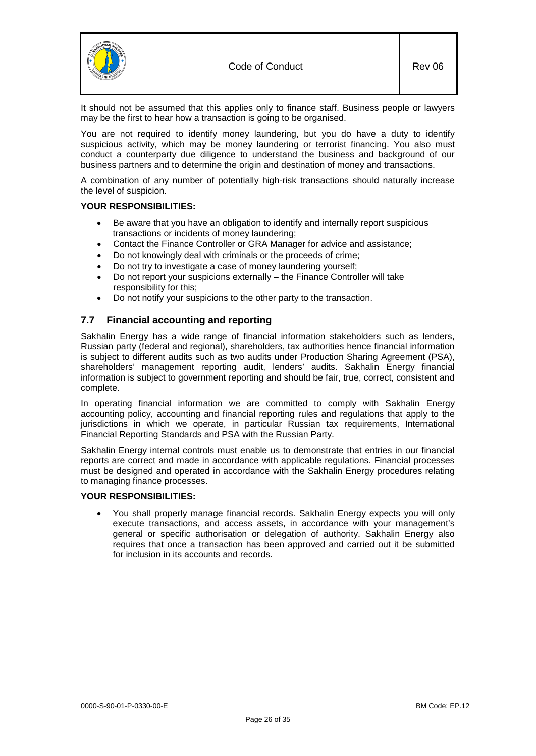

It should not be assumed that this applies only to finance staff. Business people or lawyers may be the first to hear how a transaction is going to be organised.

You are not required to identify money laundering, but you do have a duty to identify suspicious activity, which may be money laundering or terrorist financing. You also must conduct a counterparty due diligence to understand the business and background of our business partners and to determine the origin and destination of money and transactions.

A combination of any number of potentially high-risk transactions should naturally increase the level of suspicion.

## **YOUR RESPONSIBILITIES:**

- Be aware that you have an obligation to identify and internally report suspicious transactions or incidents of money laundering;
- Contact the Finance Controller or GRA Manager for advice and assistance;
- Do not knowingly deal with criminals or the proceeds of crime;
- Do not try to investigate a case of money laundering yourself;
- Do not report your suspicions externally the Finance Controller will take responsibility for this;
- Do not notify your suspicions to the other party to the transaction.

# <span id="page-25-0"></span>**7.7 Financial accounting and reporting**

Sakhalin Energy has a wide range of financial information stakeholders such as lenders, Russian party (federal and regional), shareholders, tax authorities hence financial information is subject to different audits such as two audits under Production Sharing Agreement (PSA), shareholders' management reporting audit, lenders' audits. Sakhalin Energy financial information is subject to government reporting and should be fair, true, correct, consistent and complete.

In operating financial information we are committed to comply with Sakhalin Energy accounting policy, accounting and financial reporting rules and regulations that apply to the jurisdictions in which we operate, in particular Russian tax requirements, International Financial Reporting Standards and PSA with the Russian Party.

Sakhalin Energy internal controls must enable us to demonstrate that entries in our financial reports are correct and made in accordance with applicable regulations. Financial processes must be designed and operated in accordance with the Sakhalin Energy procedures relating to managing finance processes.

#### **YOUR RESPONSIBILITIES:**

• You shall properly manage financial records. Sakhalin Energy expects you will only execute transactions, and access assets, in accordance with your management's general or specific authorisation or delegation of authority. Sakhalin Energy also requires that once a transaction has been approved and carried out it be submitted for inclusion in its accounts and records.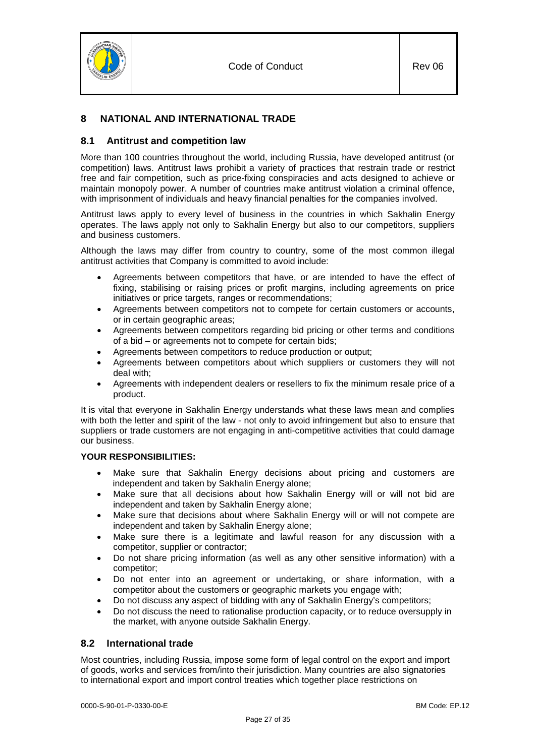

# <span id="page-26-0"></span>**8 NATIONAL AND INTERNATIONAL TRADE**

# <span id="page-26-1"></span>**8.1 Antitrust and competition law**

More than 100 countries throughout the world, including Russia, have developed antitrust (or competition) laws. Antitrust laws prohibit a variety of practices that restrain trade or restrict free and fair competition, such as price-fixing conspiracies and acts designed to achieve or maintain monopoly power. A number of countries make antitrust violation a criminal offence, with imprisonment of individuals and heavy financial penalties for the companies involved.

Antitrust laws apply to every level of business in the countries in which Sakhalin Energy operates. The laws apply not only to Sakhalin Energy but also to our competitors, suppliers and business customers.

Although the laws may differ from country to country, some of the most common illegal antitrust activities that Company is committed to avoid include:

- Agreements between competitors that have, or are intended to have the effect of fixing, stabilising or raising prices or profit margins, including agreements on price initiatives or price targets, ranges or recommendations;
- Agreements between competitors not to compete for certain customers or accounts, or in certain geographic areas;
- Agreements between competitors regarding bid pricing or other terms and conditions of a bid – or agreements not to compete for certain bids;
- Agreements between competitors to reduce production or output;
- Agreements between competitors about which suppliers or customers they will not deal with;
- Agreements with independent dealers or resellers to fix the minimum resale price of a product.

It is vital that everyone in Sakhalin Energy understands what these laws mean and complies with both the letter and spirit of the law - not only to avoid infringement but also to ensure that suppliers or trade customers are not engaging in anti-competitive activities that could damage our business.

# **YOUR RESPONSIBILITIES:**

- Make sure that Sakhalin Energy decisions about pricing and customers are independent and taken by Sakhalin Energy alone;
- Make sure that all decisions about how Sakhalin Energy will or will not bid are independent and taken by Sakhalin Energy alone;
- Make sure that decisions about where Sakhalin Energy will or will not compete are independent and taken by Sakhalin Energy alone;
- Make sure there is a legitimate and lawful reason for any discussion with a competitor, supplier or contractor;
- Do not share pricing information (as well as any other sensitive information) with a competitor;
- Do not enter into an agreement or undertaking, or share information, with a competitor about the customers or geographic markets you engage with;
- Do not discuss any aspect of bidding with any of Sakhalin Energy's competitors;
- Do not discuss the need to rationalise production capacity, or to reduce oversupply in the market, with anyone outside Sakhalin Energy.

# <span id="page-26-2"></span>**8.2 International trade**

Most countries, including Russia, impose some form of legal control on the export and import of goods, works and services from/into their jurisdiction. Many countries are also signatories to international export and import control treaties which together place restrictions on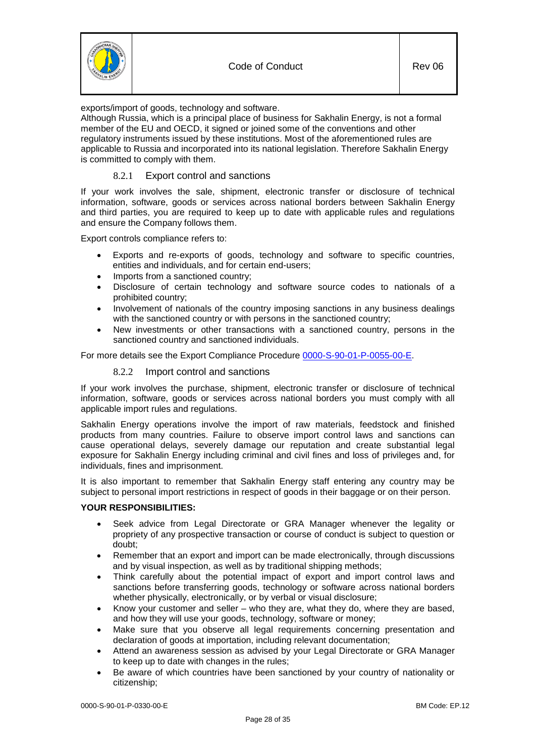

exports/import of goods, technology and software.

Although Russia, which is a principal place of business for Sakhalin Energy, is not a formal member of the EU and OECD, it signed or joined some of the conventions and other regulatory instruments issued by these institutions. Most of the aforementioned rules are applicable to Russia and incorporated into its national legislation. Therefore Sakhalin Energy is committed to comply with them.

# 8.2.1 Export control and sanctions

<span id="page-27-0"></span>If your work involves the sale, shipment, electronic transfer or disclosure of technical information, software, goods or services across national borders between Sakhalin Energy and third parties, you are required to keep up to date with applicable rules and regulations and ensure the Company follows them.

Export controls compliance refers to:

- Exports and re-exports of goods, technology and software to specific countries, entities and individuals, and for certain end-users;
- Imports from a sanctioned country;
- Disclosure of certain technology and software source codes to nationals of a prohibited country;
- Involvement of nationals of the country imposing sanctions in any business dealings with the sanctioned country or with persons in the sanctioned country;
- New investments or other transactions with a sanctioned country, persons in the sanctioned country and sanctioned individuals.

<span id="page-27-1"></span>For more details see the Export Compliance Procedure [0000-S-90-01-P-0055-00-](https://sww-llsak.sakhalinenergy.ru/glasseic/livelink.exe?func=ll&objId=514785&objAction=browse&sort=name)E.

## 8.2.2 Import control and sanctions

If your work involves the purchase, shipment, electronic transfer or disclosure of technical information, software, goods or services across national borders you must comply with all applicable import rules and regulations.

Sakhalin Energy operations involve the import of raw materials, feedstock and finished products from many countries. Failure to observe import control laws and sanctions can cause operational delays, severely damage our reputation and create substantial legal exposure for Sakhalin Energy including criminal and civil fines and loss of privileges and, for individuals, fines and imprisonment.

It is also important to remember that Sakhalin Energy staff entering any country may be subject to personal import restrictions in respect of goods in their baggage or on their person.

#### **YOUR RESPONSIBILITIES:**

- Seek advice from Legal Directorate or GRA Manager whenever the legality or propriety of any prospective transaction or course of conduct is subject to question or doubt;
- Remember that an export and import can be made electronically, through discussions and by visual inspection, as well as by traditional shipping methods;
- Think carefully about the potential impact of export and import control laws and sanctions before transferring goods, technology or software across national borders whether physically, electronically, or by verbal or visual disclosure;
- Know your customer and seller who they are, what they do, where they are based, and how they will use your goods, technology, software or money;
- Make sure that you observe all legal requirements concerning presentation and declaration of goods at importation, including relevant documentation;
- Attend an awareness session as advised by your Legal Directorate or GRA Manager to keep up to date with changes in the rules;
- Be aware of which countries have been sanctioned by your country of nationality or citizenship;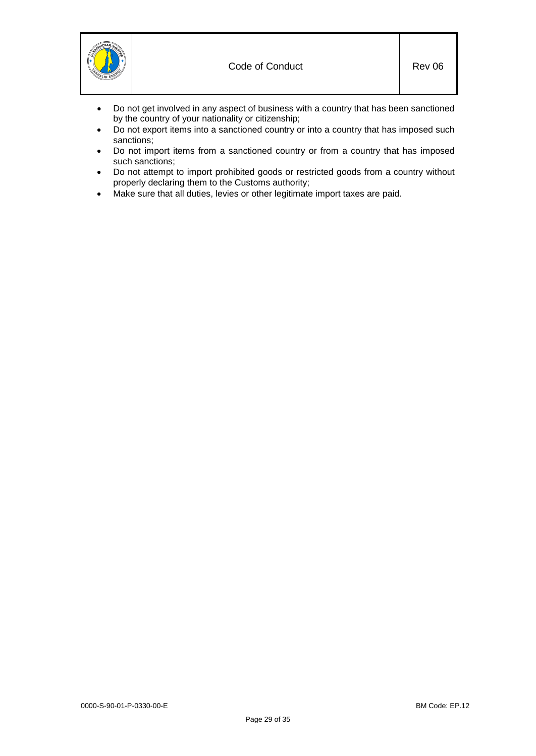

- Do not get involved in any aspect of business with a country that has been sanctioned by the country of your nationality or citizenship;
- Do not export items into a sanctioned country or into a country that has imposed such sanctions;
- Do not import items from a sanctioned country or from a country that has imposed such sanctions;
- Do not attempt to import prohibited goods or restricted goods from a country without properly declaring them to the Customs authority;
- Make sure that all duties, levies or other legitimate import taxes are paid.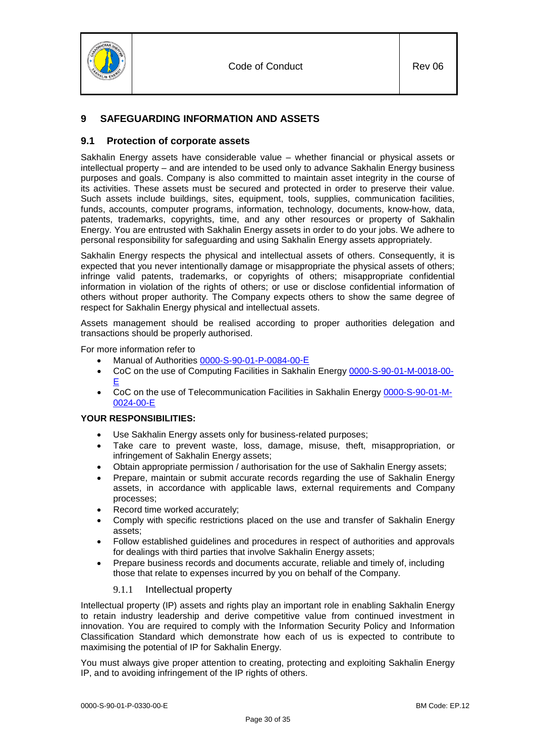

# <span id="page-29-0"></span>**9 SAFEGUARDING INFORMATION AND ASSETS**

# <span id="page-29-1"></span>**9.1 Protection of corporate assets**

Sakhalin Energy assets have considerable value – whether financial or physical assets or intellectual property – and are intended to be used only to advance Sakhalin Energy business purposes and goals. Company is also committed to maintain asset integrity in the course of its activities. These assets must be secured and protected in order to preserve their value. Such assets include buildings, sites, equipment, tools, supplies, communication facilities, funds, accounts, computer programs, information, technology, documents, know-how, data, patents, trademarks, copyrights, time, and any other resources or property of Sakhalin Energy. You are entrusted with Sakhalin Energy assets in order to do your jobs. We adhere to personal responsibility for safeguarding and using Sakhalin Energy assets appropriately.

Sakhalin Energy respects the physical and intellectual assets of others. Consequently, it is expected that you never intentionally damage or misappropriate the physical assets of others; infringe valid patents, trademarks, or copyrights of others; misappropriate confidential information in violation of the rights of others; or use or disclose confidential information of others without proper authority. The Company expects others to show the same degree of respect for Sakhalin Energy physical and intellectual assets.

Assets management should be realised according to proper authorities delegation and transactions should be properly authorised.

For more information refer to

- Manual of Authorities [0000-S-90-01-P-0084-00-](https://sww-llsak.sakhalinenergy.ru/glasseic/livelink.exe?func=ll&objId=433697&objAction=browse)E
- CoC on the use of Computing Facilities in Sakhalin Energy [0000-S-90-01-M-0018-00-](https://sww-llsak.sakhalinenergy.ru/glasseic/livelink.exe?func=ll&objId=12948638&objAction=browse&sort=name) E
- CoC on the use of Telecommunication Facilities in Sakhalin Energy [0000-S-90-01-M-](https://sww-llsak.sakhalinenergy.ru/glasseic/livelink.exe?func=ll&objId=12948888&objAction=browse&sort=name)[0024-00-](https://sww-llsak.sakhalinenergy.ru/glasseic/livelink.exe?func=ll&objId=12948888&objAction=browse&sort=name)E

# **YOUR RESPONSIBILITIES:**

- Use Sakhalin Energy assets only for business-related purposes;
- Take care to prevent waste, loss, damage, misuse, theft, misappropriation, or infringement of Sakhalin Energy assets;
- Obtain appropriate permission / authorisation for the use of Sakhalin Energy assets;
- Prepare, maintain or submit accurate records regarding the use of Sakhalin Energy assets, in accordance with applicable laws, external requirements and Company processes;
- Record time worked accurately:
- Comply with specific restrictions placed on the use and transfer of Sakhalin Energy assets;
- Follow established guidelines and procedures in respect of authorities and approvals for dealings with third parties that involve Sakhalin Energy assets;
- Prepare business records and documents accurate, reliable and timely of, including those that relate to expenses incurred by you on behalf of the Company.

# 9.1.1 Intellectual property

<span id="page-29-2"></span>Intellectual property (IP) assets and rights play an important role in enabling Sakhalin Energy to retain industry leadership and derive competitive value from continued investment in innovation. You are required to comply with the Information Security Policy and Information Classification Standard which demonstrate how each of us is expected to contribute to maximising the potential of IP for Sakhalin Energy.

You must always give proper attention to creating, protecting and exploiting Sakhalin Energy IP, and to avoiding infringement of the IP rights of others.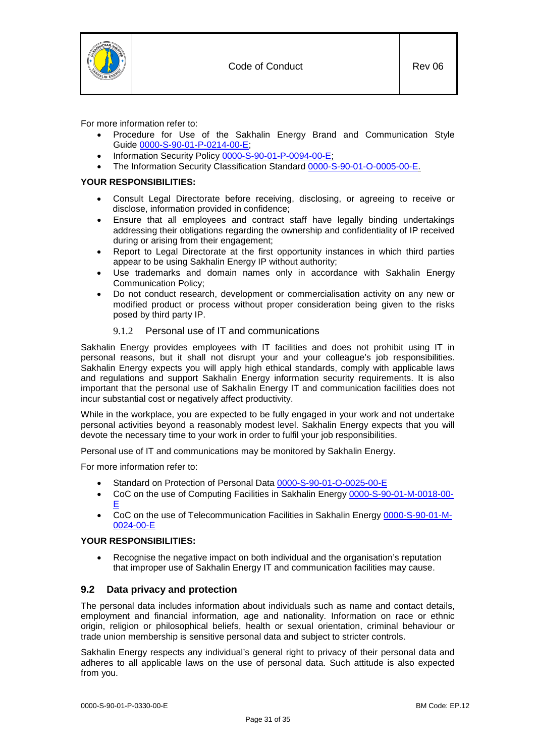

For more information refer to:

- Procedure for Use of the Sakhalin Energy Brand and Communication Style Guide [0000-S-90-01-P-0214-00-](https://sww-llsak.sakhalinenergy.ru/glasseic/livelink.exe?func=ll&objId=5102090&objAction=browse)E;
- Information Security Policy [0000-S-90-01-P-0094-00-](https://sww-llsak.sakhalinenergy.ru/glasseic/livelink.exe?func=ll&objId=760508&objAction=browse&sort=name)E:
- The Information Security Classification Standard [0000-S-90-01-O-0005-00-](https://sww-llsak.sakhalinenergy.ru/glasseic/livelink.exe?func=ll&objId=835948&objAction=browse)E.

## **YOUR RESPONSIBILITIES:**

- Consult Legal Directorate before receiving, disclosing, or agreeing to receive or disclose, information provided in confidence;
- Ensure that all employees and contract staff have legally binding undertakings addressing their obligations regarding the ownership and confidentiality of IP received during or arising from their engagement;
- Report to Legal Directorate at the first opportunity instances in which third parties appear to be using Sakhalin Energy IP without authority;
- Use trademarks and domain names only in accordance with Sakhalin Energy Communication Policy;
- Do not conduct research, development or commercialisation activity on any new or modified product or process without proper consideration being given to the risks posed by third party IP.

# 9.1.2 Personal use of IT and communications

<span id="page-30-0"></span>Sakhalin Energy provides employees with IT facilities and does not prohibit using IT in personal reasons, but it shall not disrupt your and your colleague's job responsibilities. Sakhalin Energy expects you will apply high ethical standards, comply with applicable laws and regulations and support Sakhalin Energy information security requirements. It is also important that the personal use of Sakhalin Energy IT and communication facilities does not incur substantial cost or negatively affect productivity.

While in the workplace, you are expected to be fully engaged in your work and not undertake personal activities beyond a reasonably modest level. Sakhalin Energy expects that you will devote the necessary time to your work in order to fulfil your job responsibilities.

Personal use of IT and communications may be monitored by Sakhalin Energy.

For more information refer to:

- Standard on Protection of Personal Data [0000-S-90-01-O-0025-00-](https://sww-llsak.sakhalinenergy.ru/glasseic/livelink.exe?func=ll&objId=78435872&objAction=browse)E
- CoC on the use of Computing Facilities in Sakhalin Energy [0000-S-90-01-M-0018-00-](https://sww-llsak.sakhalinenergy.ru/glasseic/livelink.exe?func=ll&objId=12948638&objAction=browse&sort=name) E
- CoC on the use of Telecommunication Facilities in Sakhalin Energy [0000-S-90-01-M-](https://sww-llsak.sakhalinenergy.ru/glasseic/livelink.exe?func=ll&objId=12948888&objAction=browse&sort=name)[0024-00-](https://sww-llsak.sakhalinenergy.ru/glasseic/livelink.exe?func=ll&objId=12948888&objAction=browse&sort=name)E

#### **YOUR RESPONSIBILITIES:**

• Recognise the negative impact on both individual and the organisation's reputation that improper use of Sakhalin Energy IT and communication facilities may cause.

# <span id="page-30-1"></span>**9.2 Data privacy and protection**

The personal data includes information about individuals such as name and contact details, employment and financial information, age and nationality. Information on race or ethnic origin, religion or philosophical beliefs, health or sexual orientation, criminal behaviour or trade union membership is sensitive personal data and subject to stricter controls.

Sakhalin Energy respects any individual's general right to privacy of their personal data and adheres to all applicable laws on the use of personal data. Such attitude is also expected from you.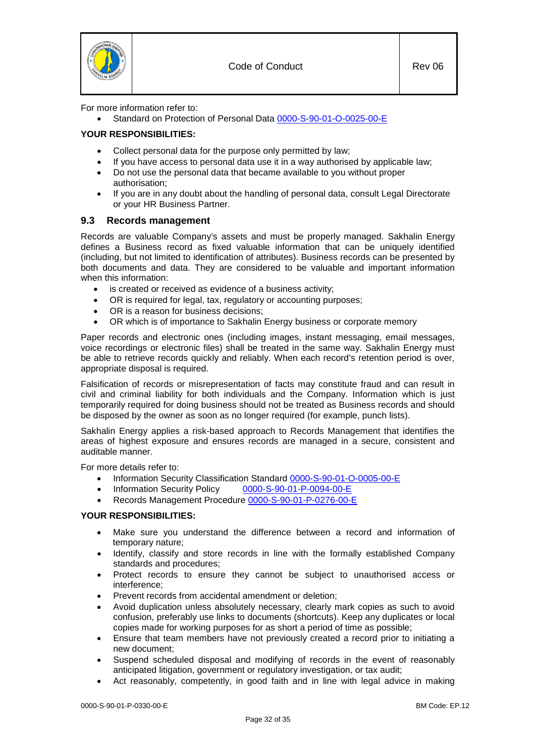

For more information refer to:

• Standard on Protection of Personal Data [0000-S-90-01-O-0025-00-](https://sww-llsak.sakhalinenergy.ru/glasseic/livelink.exe?func=ll&objId=78435872&objAction=browse)E

# **YOUR RESPONSIBILITIES:**

- Collect personal data for the purpose only permitted by law;
- If you have access to personal data use it in a way authorised by applicable law;
- Do not use the personal data that became available to you without proper authorisation;
- If you are in any doubt about the handling of personal data, consult Legal Directorate or your HR Business Partner.

# <span id="page-31-0"></span>**9.3 Records management**

Records are valuable Company's assets and must be properly managed. Sakhalin Energy defines a Business record as fixed valuable information that can be uniquely identified (including, but not limited to identification of attributes). Business records can be presented by both documents and data. They are considered to be valuable and important information when this information:

- is created or received as evidence of a business activity;
- OR is required for legal, tax, regulatory or accounting purposes;
- OR is a reason for business decisions;
- OR which is of importance to Sakhalin Energy business or corporate memory

Paper records and electronic ones (including images, instant messaging, email messages, voice recordings or electronic files) shall be treated in the same way. Sakhalin Energy must be able to retrieve records quickly and reliably. When each record's retention period is over, appropriate disposal is required.

Falsification of records or misrepresentation of facts may constitute fraud and can result in civil and criminal liability for both individuals and the Company. Information which is just temporarily required for doing business should not be treated as Business records and should be disposed by the owner as soon as no longer required (for example, punch lists).

Sakhalin Energy applies a risk-based approach to Records Management that identifies the areas of highest exposure and ensures records are managed in a secure, consistent and auditable manner.

For more details refer to:

- Information Security Classification Standard [0000-S-90-01-O-0005-00-](https://sww-llsak.sakhalinenergy.ru/glasseic/livelink.exe?func=ll&objId=835948&objAction=browse)E
- Information Security Policy [0000-S-90-01-P-0094-00-](https://sww-llsak.sakhalinenergy.ru/glasseic/livelink.exe?func=ll&objId=760508&objAction=browse&sort=name)E
- Records Management Procedure [0000-S-90-01-P-0276-00-](https://sww-llsak.sakhalinenergy.ru/glasseic/livelink.exe?func=ll&objId=17358101&objAction=browse&sort=name)E

#### **YOUR RESPONSIBILITIES:**

- Make sure you understand the difference between a record and information of temporary nature;
- Identify, classify and store records in line with the formally established Company standards and procedures;
- Protect records to ensure they cannot be subject to unauthorised access or interference;
- Prevent records from accidental amendment or deletion;
- Avoid duplication unless absolutely necessary, clearly mark copies as such to avoid confusion, preferably use links to documents (shortcuts). Keep any duplicates or local copies made for working purposes for as short a period of time as possible;
- Ensure that team members have not previously created a record prior to initiating a new document;
- Suspend scheduled disposal and modifying of records in the event of reasonably anticipated litigation, government or regulatory investigation, or tax audit;
- Act reasonably, competently, in good faith and in line with legal advice in making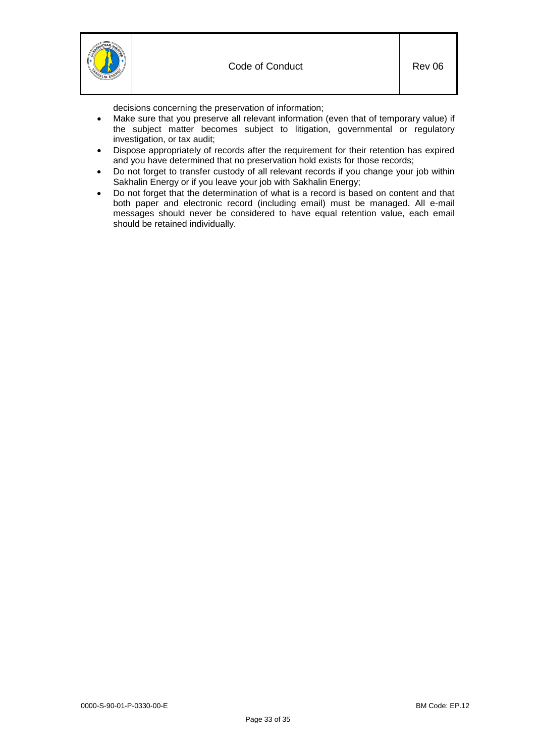

decisions concerning the preservation of information;

- Make sure that you preserve all relevant information (even that of temporary value) if the subject matter becomes subject to litigation, governmental or regulatory investigation, or tax audit;
- Dispose appropriately of records after the requirement for their retention has expired and you have determined that no preservation hold exists for those records;
- Do not forget to transfer custody of all relevant records if you change your job within Sakhalin Energy or if you leave your job with Sakhalin Energy;
- Do not forget that the determination of what is a record is based on content and that both paper and electronic record (including email) must be managed. All e-mail messages should never be considered to have equal retention value, each email should be retained individually.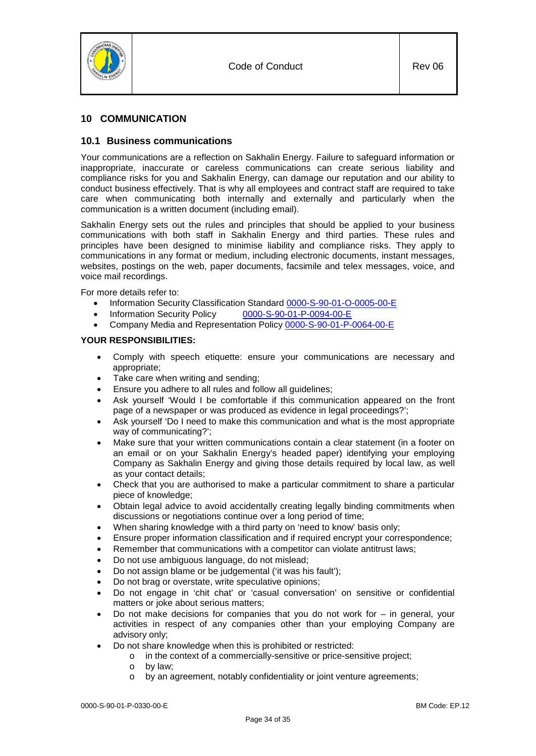

# <span id="page-33-1"></span><span id="page-33-0"></span>**10 COMMUNICATION**

# **10.1 Business communications**

Your communications are a reflection on Sakhalin Energy. Failure to safeguard information or inappropriate, inaccurate or careless communications can create serious liability and compliance risks for you and Sakhalin Energy, can damage our reputation and our ability to conduct business effectively. That is why all employees and contract staff are required to take care when communicating both internally and externally and particularly when the communication is a written document (including email).

Sakhalin Energy sets out the rules and principles that should be applied to your business communications with both staff in Sakhalin Energy and third parties. These rules and principles have been designed to minimise liability and compliance risks. They apply to communications in any format or medium, including electronic documents, instant messages, websites, postings on the web, paper documents, facsimile and telex messages, voice, and voice mail recordings.

For more details refer to:

- Information Security Classification Standard [0000-S-90-01-O-0005-00-](https://sww-llsak.sakhalinenergy.ru/glasseic/livelink.exe?func=ll&objId=835948&objAction=browse)E<br>• Information Security Policy 0000-S-90-01-P-0094-00-E
- Information Security Policy
- Company Media and Representation Policy [0000-S-90-01-P-0064-00-E](https://sww-llsak.sakhalinenergy.ru/glasseic/livelink.exe?func=ll&objId=760530&objAction=browse&sort=name)

#### **YOUR RESPONSIBILITIES:**

- Comply with speech etiquette: ensure your communications are necessary and appropriate;
- Take care when writing and sending;
- Ensure you adhere to all rules and follow all guidelines;
- Ask yourself 'Would I be comfortable if this communication appeared on the front page of a newspaper or was produced as evidence in legal proceedings?';
- Ask yourself 'Do I need to make this communication and what is the most appropriate way of communicating?';
- Make sure that your written communications contain a clear statement (in a footer on an email or on your Sakhalin Energy's headed paper) identifying your employing Company as Sakhalin Energy and giving those details required by local law, as well as your contact details;
- Check that you are authorised to make a particular commitment to share a particular piece of knowledge;
- Obtain legal advice to avoid accidentally creating legally binding commitments when discussions or negotiations continue over a long period of time;
- When sharing knowledge with a third party on 'need to know' basis only;
- Ensure proper information classification and if required encrypt your correspondence;
- Remember that communications with a competitor can violate antitrust laws;
- Do not use ambiguous language, do not mislead;
- Do not assign blame or be judgemental ('it was his fault');
- Do not brag or overstate, write speculative opinions;
- Do not engage in 'chit chat' or 'casual conversation' on sensitive or confidential matters or joke about serious matters;
- Do not make decisions for companies that you do not work for  $-$  in general, your activities in respect of any companies other than your employing Company are advisory only;
- Do not share knowledge when this is prohibited or restricted:
	- o in the context of a commercially-sensitive or price-sensitive project;
		- o by law;
		- o by an agreement, notably confidentiality or joint venture agreements;